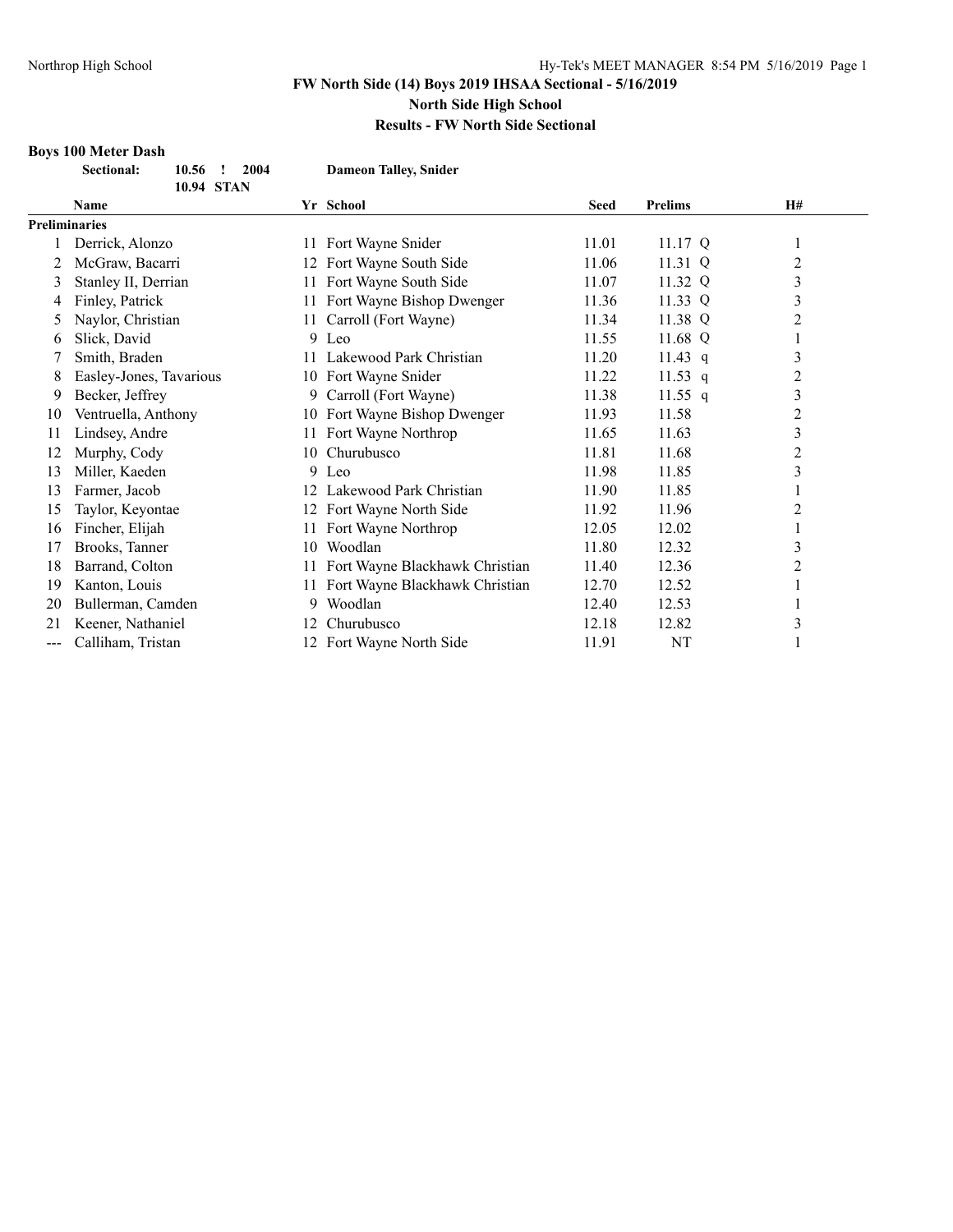#### **Results - FW North Side Sectional**

# **Boys 100 Meter Dash**

|       | <b>Sectional:</b><br>2004<br>10.56<br>, |     | <b>Dameon Talley, Snider</b>   |             |                |                |  |
|-------|-----------------------------------------|-----|--------------------------------|-------------|----------------|----------------|--|
|       | 10.94 STAN                              |     |                                |             |                |                |  |
|       | <b>Name</b>                             |     | Yr School                      | <b>Seed</b> | <b>Prelims</b> | H#             |  |
|       | <b>Preliminaries</b>                    |     |                                |             |                |                |  |
|       | Derrick, Alonzo                         | 11  | Fort Wayne Snider              | 11.01       | 11.17 $Q$      | $\mathbf{I}$   |  |
| 2     | McGraw, Bacarri                         |     | 12 Fort Wayne South Side       | 11.06       | 11.31 Q        | $\overline{2}$ |  |
| 3     | Stanley II, Derrian                     |     | 11 Fort Wayne South Side       | 11.07       | 11.32 Q        | 3              |  |
| 4     | Finley, Patrick                         | 11- | Fort Wayne Bishop Dwenger      | 11.36       | 11.33 Q        | $\mathfrak{Z}$ |  |
|       | Naylor, Christian                       | 11  | Carroll (Fort Wayne)           | 11.34       | 11.38 Q        | $\overline{2}$ |  |
| 6     | Slick, David                            |     | $9$ Leo                        | 11.55       | 11.68 Q        | 1              |  |
|       | Smith, Braden                           | 11  | Lakewood Park Christian        | 11.20       | 11.43 $q$      | $\mathfrak{Z}$ |  |
| 8     | Easley-Jones, Tavarious                 |     | 10 Fort Wayne Snider           | 11.22       | 11.53 $q$      | 2              |  |
| 9     | Becker, Jeffrey                         |     | 9 Carroll (Fort Wayne)         | 11.38       | 11.55 $q$      | 3              |  |
| 10    | Ventruella, Anthony                     | 10  | Fort Wayne Bishop Dwenger      | 11.93       | 11.58          | $\overline{c}$ |  |
| 11    | Lindsey, Andre                          | 11  | Fort Wayne Northrop            | 11.65       | 11.63          | 3              |  |
| 12    | Murphy, Cody                            | 10  | Churubusco                     | 11.81       | 11.68          | $\overline{c}$ |  |
| 13    | Miller, Kaeden                          |     | 9 Leo                          | 11.98       | 11.85          | 3              |  |
| 13    | Farmer, Jacob                           | 12  | Lakewood Park Christian        | 11.90       | 11.85          |                |  |
| 15    | Taylor, Keyontae                        |     | 12 Fort Wayne North Side       | 11.92       | 11.96          | 2              |  |
| 16    | Fincher, Elijah                         | 11  | Fort Wayne Northrop            | 12.05       | 12.02          | 1              |  |
| 17    | Brooks, Tanner                          | 10  | Woodlan                        | 11.80       | 12.32          | 3              |  |
| 18    | Barrand, Colton                         | 11  | Fort Wayne Blackhawk Christian | 11.40       | 12.36          | $\overline{2}$ |  |
| 19    | Kanton, Louis                           | 11  | Fort Wayne Blackhawk Christian | 12.70       | 12.52          | 1              |  |
| 20    | Bullerman, Camden                       | 9   | Woodlan                        | 12.40       | 12.53          | 1              |  |
| 21    | Keener, Nathaniel                       | 12  | Churubusco                     | 12.18       | 12.82          | 3              |  |
| $---$ | Calliham. Tristan                       |     | 12 Fort Wayne North Side       | 11.91       | NT             |                |  |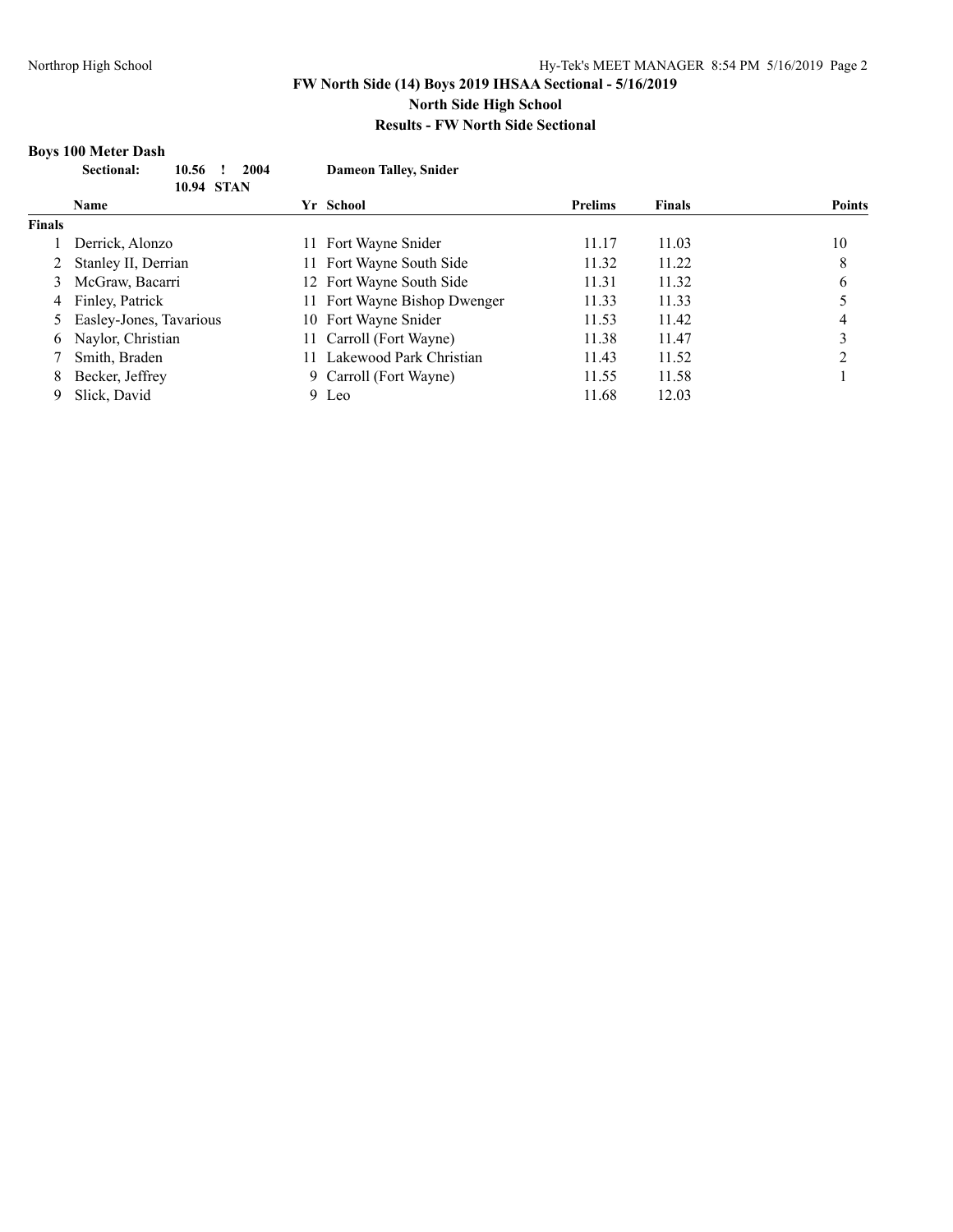#### **Boys 100 Meter Dash**

|               | <b>Sectional:</b><br>2004<br>10.56<br><b>10.94 STAN</b> |     | <b>Dameon Talley, Snider</b> |                |               |               |
|---------------|---------------------------------------------------------|-----|------------------------------|----------------|---------------|---------------|
|               | <b>Name</b>                                             |     | Yr School                    | <b>Prelims</b> | <b>Finals</b> | <b>Points</b> |
| <b>Finals</b> |                                                         |     |                              |                |               |               |
|               | Derrick, Alonzo                                         | 11. | Fort Wayne Snider            | 11.17          | 11.03         | 10            |
|               | Stanley II, Derrian                                     | 11  | Fort Wayne South Side        | 11.32          | 11.22         | 8             |
| 3             | McGraw, Bacarri                                         |     | 12 Fort Wayne South Side     | 11.31          | 11.32         | 6             |
| 4             | Finley, Patrick                                         | 11. | Fort Wayne Bishop Dwenger    | 11.33          | 11.33         |               |
| 5.            | Easley-Jones, Tavarious                                 |     | 10 Fort Wayne Snider         | 11.53          | 11.42         | 4             |
| 6             | Naylor, Christian                                       | 11- | Carroll (Fort Wayne)         | 11.38          | 11.47         | 3             |
|               | Smith, Braden                                           |     | Lakewood Park Christian      | 11.43          | 11.52         | ∍             |
| 8             | Becker, Jeffrey                                         |     | 9 Carroll (Fort Wayne)       | 11.55          | 11.58         |               |
| 9             | Slick, David                                            |     | 9 Leo                        | 11.68          | 12.03         |               |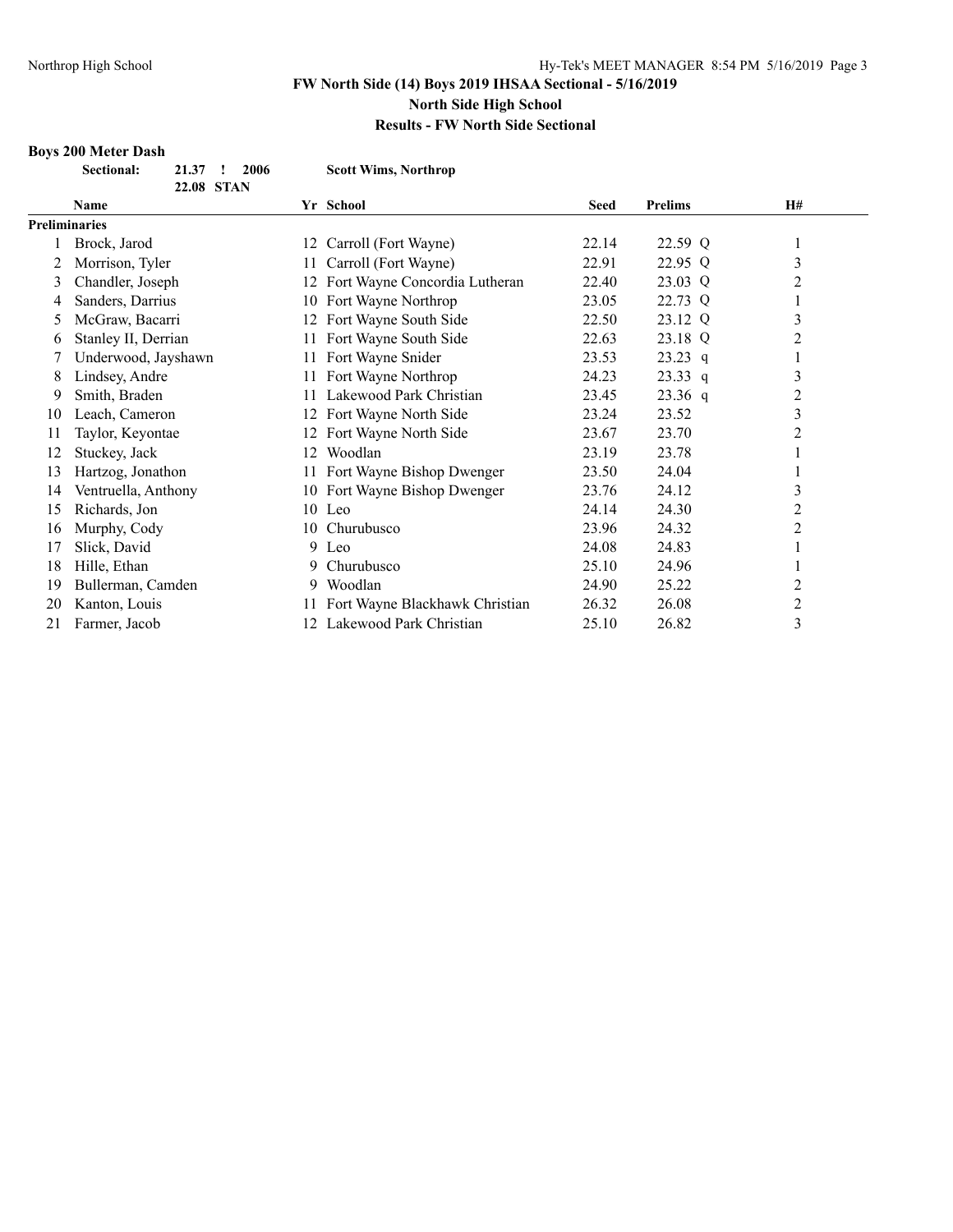#### **Results - FW North Side Sectional**

# **Boys 200 Meter Dash**

|    | <b>Sectional:</b><br>21.37<br>2006 |    | <b>Scott Wims, Northrop</b>       |             |                |           |
|----|------------------------------------|----|-----------------------------------|-------------|----------------|-----------|
|    | 22.08 STAN                         |    |                                   |             |                |           |
|    | <b>Name</b>                        |    | Yr School                         | <b>Seed</b> | <b>Prelims</b> | <b>H#</b> |
|    | <b>Preliminaries</b>               |    |                                   |             |                |           |
|    | Brock, Jarod                       |    | 12 Carroll (Fort Wayne)           | 22.14       | 22.59 Q        |           |
| 2  | Morrison, Tyler                    |    | 11 Carroll (Fort Wayne)           | 22.91       | 22.95 Q        | 3         |
| 3  | Chandler, Joseph                   |    | 12 Fort Wayne Concordia Lutheran  | 22.40       | 23.03 Q        | 2         |
| 4  | Sanders, Darrius                   |    | 10 Fort Wayne Northrop            | 23.05       | 22.73 Q        |           |
| 5  | McGraw, Bacarri                    | 12 | Fort Wayne South Side             | 22.50       | 23.12 Q        | 3         |
| 6  | Stanley II, Derrian                | 11 | Fort Wayne South Side             | 22.63       | 23.18 Q        | 2         |
| 7  | Underwood, Jayshawn                |    | Fort Wayne Snider                 | 23.53       | $23.23$ q      |           |
| 8  | Lindsey, Andre                     | 11 | Fort Wayne Northrop               | 24.23       | $23.33$ q      | 3         |
| 9  | Smith, Braden                      |    | Lakewood Park Christian           | 23.45       | $23.36$ q      | 2         |
| 10 | Leach, Cameron                     | 12 | Fort Wayne North Side             | 23.24       | 23.52          | 3         |
| 11 | Taylor, Keyontae                   |    | Fort Wayne North Side             | 23.67       | 23.70          | 2         |
| 12 | Stuckey, Jack                      | 12 | Woodlan                           | 23.19       | 23.78          |           |
| 13 | Hartzog, Jonathon                  |    | 11 Fort Wayne Bishop Dwenger      | 23.50       | 24.04          |           |
| 14 | Ventruella, Anthony                |    | 10 Fort Wayne Bishop Dwenger      | 23.76       | 24.12          | 3         |
| 15 | Richards, Jon                      |    | 10 Leo                            | 24.14       | 24.30          | 2         |
| 16 | Murphy, Cody                       |    | 10 Churubusco                     | 23.96       | 24.32          | 2         |
| 17 | Slick, David                       |    | 9 Leo                             | 24.08       | 24.83          |           |
| 18 | Hille, Ethan                       | 9. | Churubusco                        | 25.10       | 24.96          |           |
| 19 | Bullerman, Camden                  | 9. | Woodlan                           | 24.90       | 25.22          | 2         |
| 20 | Kanton, Louis                      |    | 11 Fort Wayne Blackhawk Christian | 26.32       | 26.08          | 2         |
| 21 | Farmer, Jacob                      |    | 12 Lakewood Park Christian        | 25.10       | 26.82          | 3         |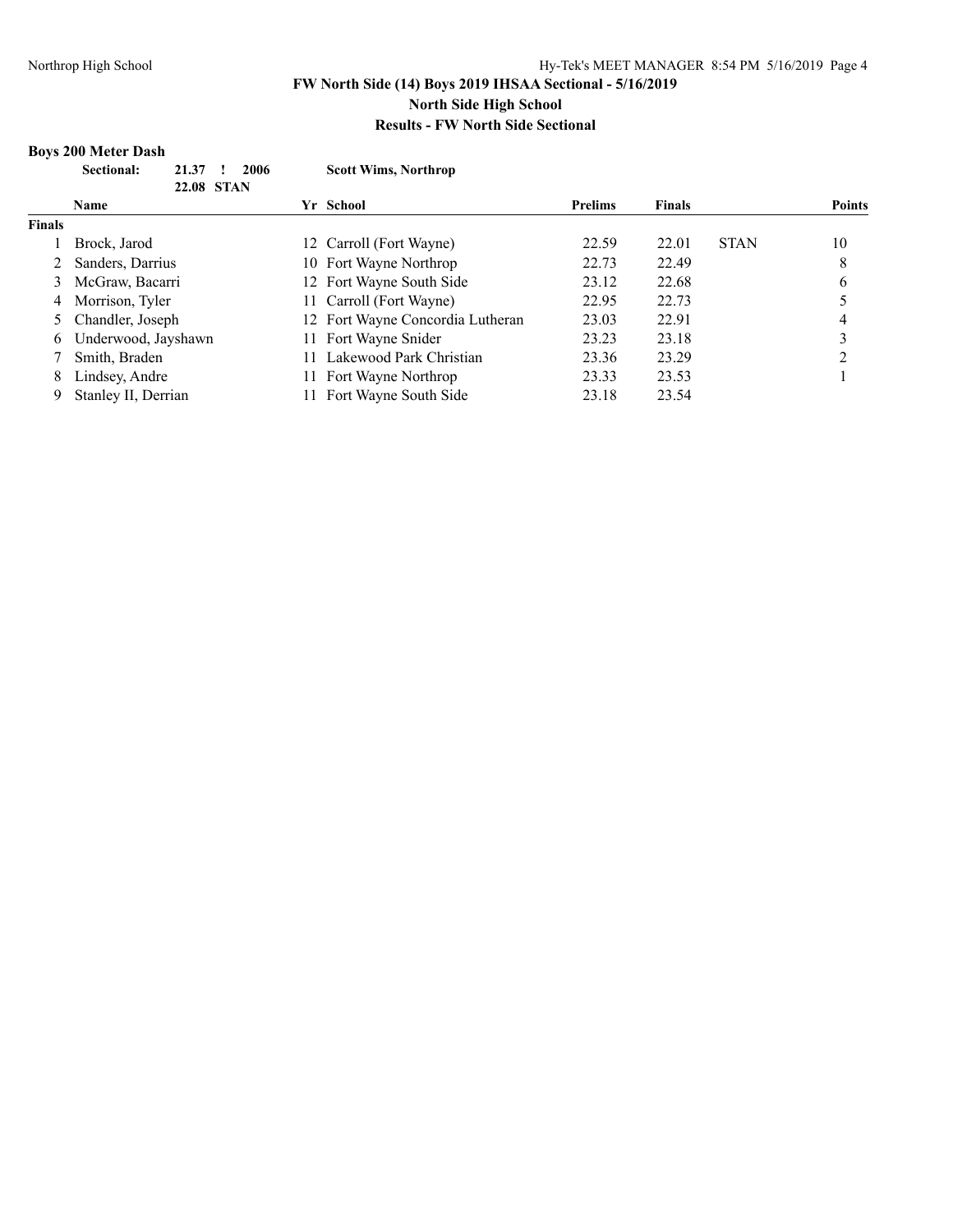#### **Boys 200 Meter Dash**

|               | <b>Sectional:</b><br>21.37 | 2006 | <b>Scott Wims, Northrop</b>      |                |               |             |               |
|---------------|----------------------------|------|----------------------------------|----------------|---------------|-------------|---------------|
| 22.08 STAN    |                            |      |                                  |                |               |             |               |
|               | Name                       |      | Yr School                        | <b>Prelims</b> | <b>Finals</b> |             | <b>Points</b> |
| <b>Finals</b> |                            |      |                                  |                |               |             |               |
|               | Brock, Jarod               |      | 12 Carroll (Fort Wayne)          | 22.59          | 22.01         | <b>STAN</b> | 10            |
|               | Sanders, Darrius           |      | 10 Fort Wayne Northrop           | 22.73          | 22.49         |             | 8             |
| 3             | McGraw, Bacarri            |      | 12 Fort Wayne South Side         | 23.12          | 22.68         |             | 6             |
| 4             | Morrison, Tyler            |      | 11 Carroll (Fort Wayne)          | 22.95          | 22.73         |             |               |
|               | 5 Chandler, Joseph         |      | 12 Fort Wayne Concordia Lutheran | 23.03          | 22.91         |             | 4             |
| 6             | Underwood, Jayshawn        | 11.  | Fort Wayne Snider                | 23.23          | 23.18         |             | 3             |
|               | Smith, Braden              |      | Lakewood Park Christian          | 23.36          | 23.29         |             | ∍             |
| 8             | Lindsey, Andre             | 11.  | Fort Wayne Northrop              | 23.33          | 23.53         |             |               |
| 9             | Stanley II, Derrian        |      | Fort Wayne South Side            | 23.18          | 23.54         |             |               |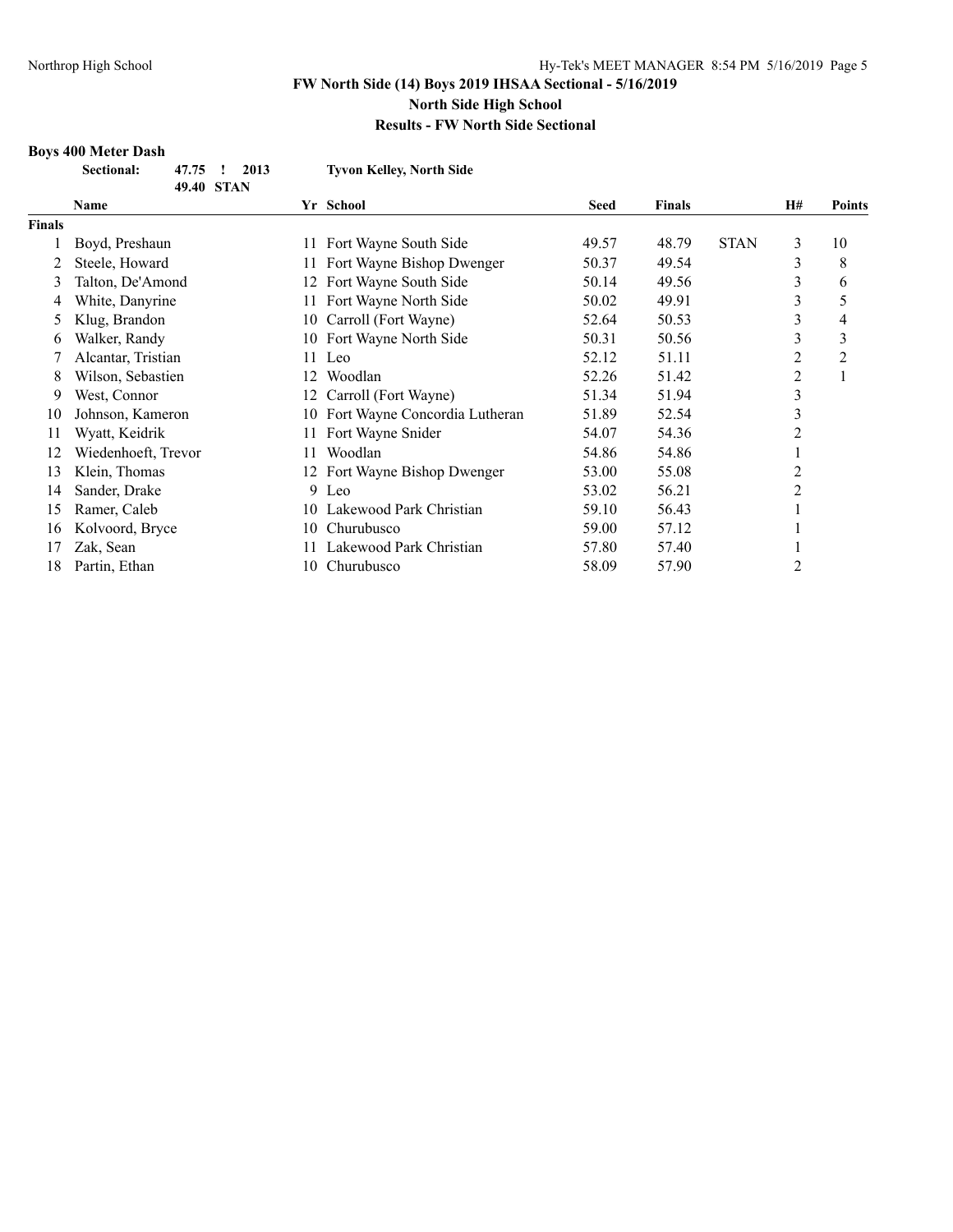#### **Results - FW North Side Sectional**

#### **Boys 400 Meter Dash**

| Sectional:                    | 47.75 ! 2013<br>49.40 STAN |  | <b>Tyvon Kelley, North Side</b> |
|-------------------------------|----------------------------|--|---------------------------------|
| $\mathbf{N}$ and $\mathbf{N}$ |                            |  | V. C.L.I                        |

| Name                |     |                           | <b>Seed</b>                                                                                                                                                                        | <b>Finals</b> |             | H# | <b>Points</b>  |
|---------------------|-----|---------------------------|------------------------------------------------------------------------------------------------------------------------------------------------------------------------------------|---------------|-------------|----|----------------|
|                     |     |                           |                                                                                                                                                                                    |               |             |    |                |
| Boyd, Preshaun      | 11. | Fort Wayne South Side     | 49.57                                                                                                                                                                              | 48.79         | <b>STAN</b> | 3  | 10             |
| Steele, Howard      |     | Fort Wayne Bishop Dwenger | 50.37                                                                                                                                                                              | 49.54         |             | 3  | 8              |
| Talton, De'Amond    | 12  | Fort Wayne South Side     | 50.14                                                                                                                                                                              | 49.56         |             | 3  | 6              |
| White, Danyrine     |     | Fort Wayne North Side     | 50.02                                                                                                                                                                              | 49.91         |             | 3  | 5              |
| Klug, Brandon       |     | Carroll (Fort Wayne)      | 52.64                                                                                                                                                                              | 50.53         |             | 3  | 4              |
| Walker, Randy       |     |                           | 50.31                                                                                                                                                                              | 50.56         |             | 3  | 3              |
| Alcantar, Tristian  |     |                           | 52.12                                                                                                                                                                              | 51.11         |             | 2  | $\overline{2}$ |
| Wilson, Sebastien   |     | Woodlan                   | 52.26                                                                                                                                                                              | 51.42         |             | 2  |                |
| West, Connor        |     |                           | 51.34                                                                                                                                                                              | 51.94         |             | 3  |                |
| Johnson, Kameron    |     |                           | 51.89                                                                                                                                                                              | 52.54         |             | 3  |                |
| Wyatt, Keidrik      | 11. | Fort Wayne Snider         | 54.07                                                                                                                                                                              | 54.36         |             | 2  |                |
| Wiedenhoeft, Trevor | 11. | Woodlan                   | 54.86                                                                                                                                                                              | 54.86         |             |    |                |
| Klein, Thomas       |     |                           | 53.00                                                                                                                                                                              | 55.08         |             | 2  |                |
| Sander, Drake       |     |                           | 53.02                                                                                                                                                                              | 56.21         |             | 2  |                |
| Ramer, Caleb        |     | Lakewood Park Christian   | 59.10                                                                                                                                                                              | 56.43         |             |    |                |
| Kolvoord, Bryce     | 10. | Churubusco                | 59.00                                                                                                                                                                              | 57.12         |             |    |                |
| Zak, Sean           |     | Lakewood Park Christian   | 57.80                                                                                                                                                                              | 57.40         |             |    |                |
| Partin, Ethan       |     | Churubusco                | 58.09                                                                                                                                                                              | 57.90         |             | 2  |                |
|                     |     |                           | Yr School<br>10-<br>10 Fort Wayne North Side<br>11 Leo<br>12<br>12 Carroll (Fort Wayne)<br>10 Fort Wayne Concordia Lutheran<br>12 Fort Wayne Bishop Dwenger<br>9 Leo<br>10-<br>10. |               |             |    |                |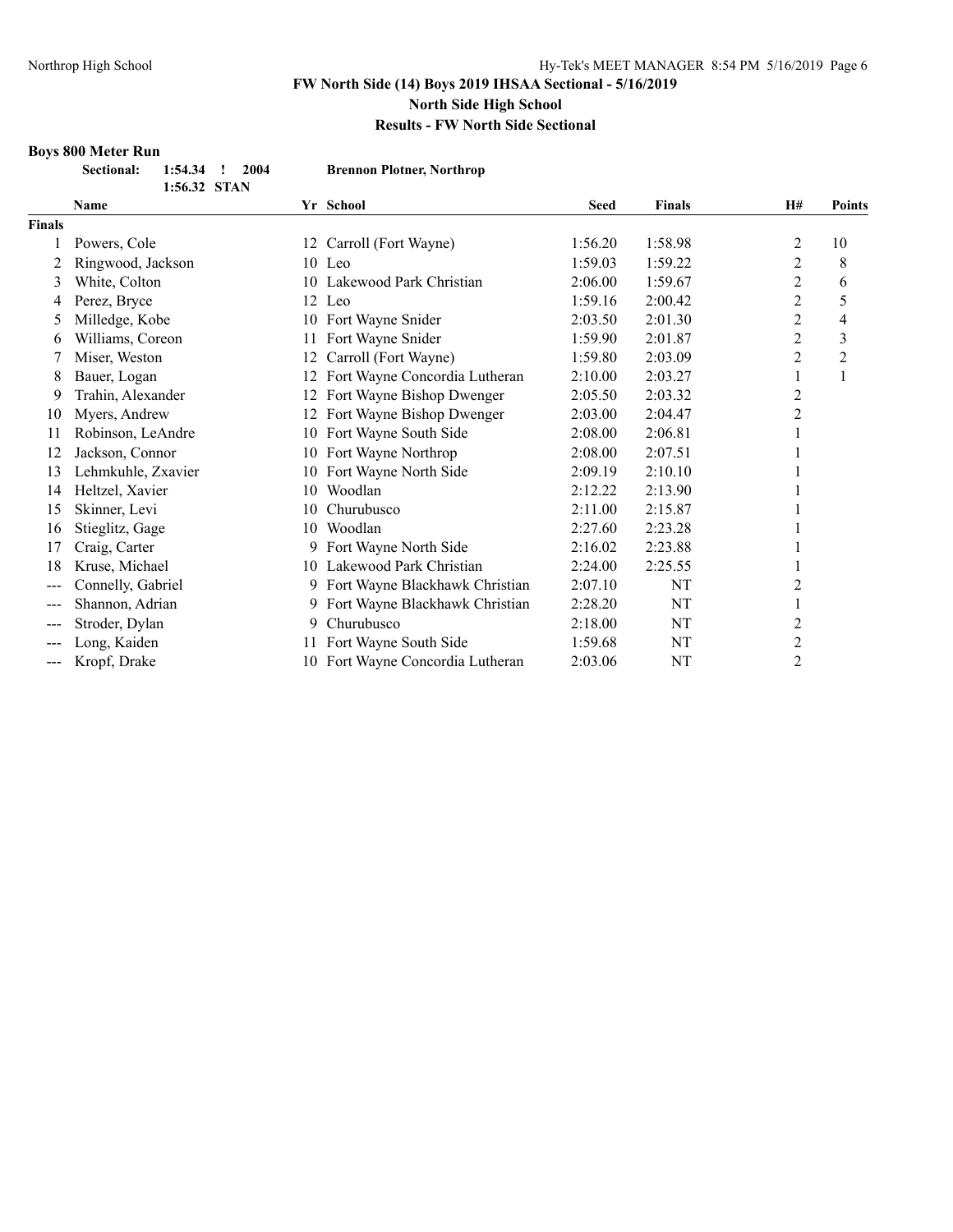# **Results - FW North Side Sectional**

# **Boys 800 Meter Run**

| <b>Sectional:</b> | $1:54.34$ !<br>-2004 | <b>Brennon Plotner, Northrop</b> |
|-------------------|----------------------|----------------------------------|
|                   | 1:56.32 STAN         |                                  |

|                   | <b>Name</b>        |     | Yr School                      | <b>Seed</b> | <b>Finals</b> | H#             | <b>Points</b> |
|-------------------|--------------------|-----|--------------------------------|-------------|---------------|----------------|---------------|
| <b>Finals</b>     |                    |     |                                |             |               |                |               |
|                   | Powers, Cole       | 12  | Carroll (Fort Wayne)           | 1:56.20     | 1:58.98       | 2              | 10            |
| 2                 | Ringwood, Jackson  |     | 10 Leo                         | 1:59.03     | 1:59.22       | $\overline{2}$ | 8             |
| 3                 | White, Colton      |     | 10 Lakewood Park Christian     | 2:06.00     | 1:59.67       | 2              | 6             |
| 4                 | Perez, Bryce       |     | 12 Leo                         | 1:59.16     | 2:00.42       | 2              | 5             |
| 5                 | Milledge, Kobe     | 10  | Fort Wayne Snider              | 2:03.50     | 2:01.30       | 2              | 4             |
| 6                 | Williams, Coreon   | 11  | Fort Wayne Snider              | 1:59.90     | 2:01.87       | 2              | 3             |
|                   | Miser, Weston      | 12  | Carroll (Fort Wayne)           | 1:59.80     | 2:03.09       | 2              | 2             |
| 8                 | Bauer, Logan       | 12  | Fort Wayne Concordia Lutheran  | 2:10.00     | 2:03.27       | 1              |               |
| 9                 | Trahin, Alexander  | 12  | Fort Wayne Bishop Dwenger      | 2:05.50     | 2:03.32       | 2              |               |
| 10                | Myers, Andrew      | 12  | Fort Wayne Bishop Dwenger      | 2:03.00     | 2:04.47       | $\overline{c}$ |               |
| 11                | Robinson, LeAndre  | 10  | Fort Wayne South Side          | 2:08.00     | 2:06.81       |                |               |
| 12                | Jackson, Connor    | 10. | Fort Wayne Northrop            | 2:08.00     | 2:07.51       |                |               |
| 13                | Lehmkuhle, Zxavier | 10. | Fort Wayne North Side          | 2:09.19     | 2:10.10       |                |               |
| 14                | Heltzel, Xavier    | 10  | Woodlan                        | 2:12.22     | 2:13.90       |                |               |
| 15                | Skinner, Levi      | 10  | Churubusco                     | 2:11.00     | 2:15.87       |                |               |
| 16                | Stieglitz, Gage    | 10. | Woodlan                        | 2:27.60     | 2:23.28       |                |               |
| 17                | Craig, Carter      |     | Fort Wayne North Side          | 2:16.02     | 2:23.88       |                |               |
| 18                | Kruse, Michael     |     | 10 Lakewood Park Christian     | 2:24.00     | 2:25.55       |                |               |
| $---$             | Connelly, Gabriel  |     | Fort Wayne Blackhawk Christian | 2:07.10     | NT            | 2              |               |
| $\qquad \qquad -$ | Shannon, Adrian    |     | Fort Wayne Blackhawk Christian | 2:28.20     | NT            |                |               |
| $---$             | Stroder, Dylan     | 9   | Churubusco                     | 2:18.00     | NT            | 2              |               |
| $\qquad \qquad -$ | Long, Kaiden       | 11  | Fort Wayne South Side          | 1:59.68     | NT            | 2              |               |
| $---$             | Kropf, Drake       | 10  | Fort Wavne Concordia Lutheran  | 2:03.06     | NT            | 2              |               |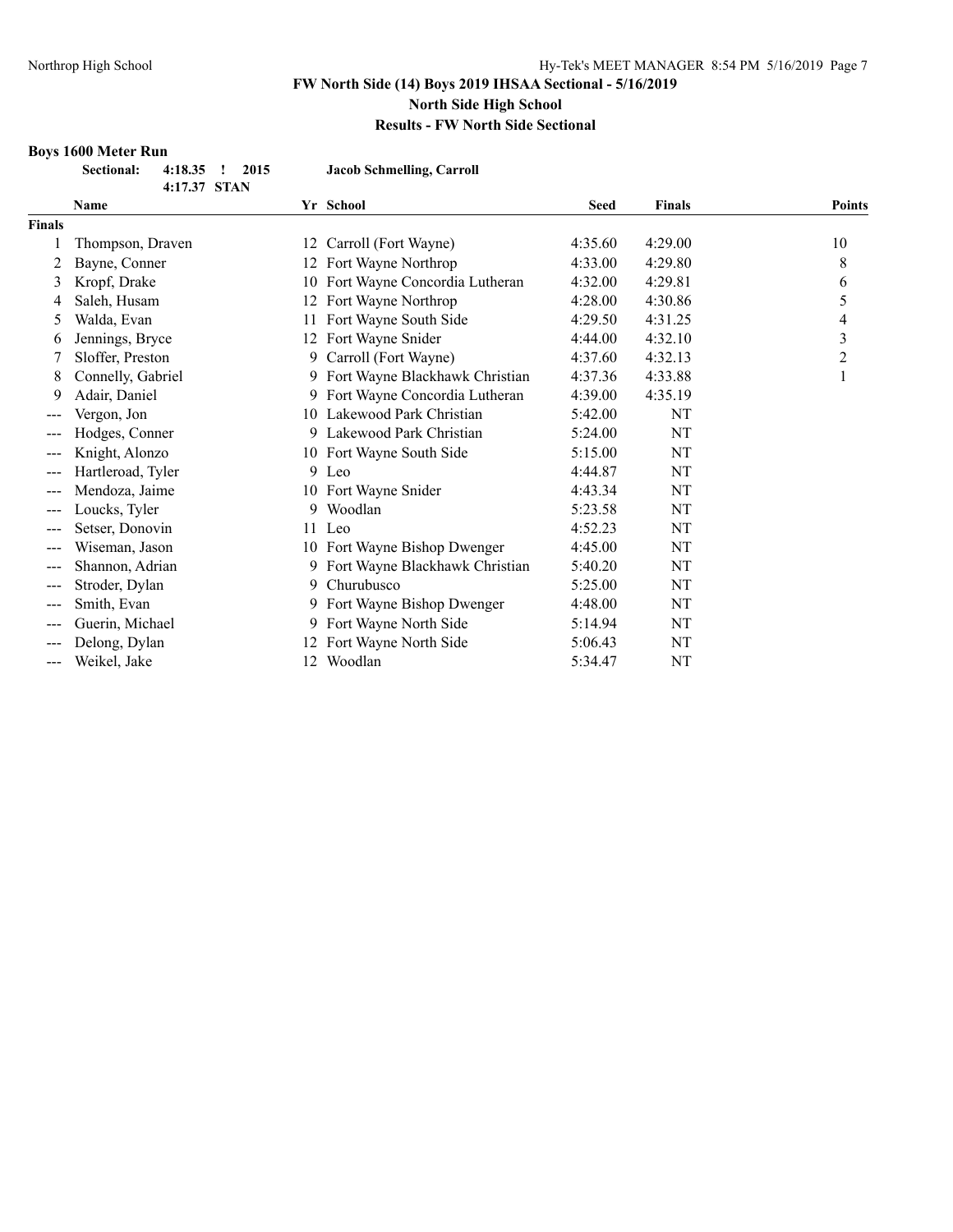## **Results - FW North Side Sectional**

#### **Boys 1600 Meter Run**

| Sectional: 4:18.35 ! 2015 |              | Jacob Schmelling, Carroll |
|---------------------------|--------------|---------------------------|
|                           | 4:17.37 STAN |                           |

|               | 4:17.37 SIAN      |    |                                  |             |               |               |
|---------------|-------------------|----|----------------------------------|-------------|---------------|---------------|
|               | Name              |    | Yr School                        | <b>Seed</b> | <b>Finals</b> | <b>Points</b> |
| <b>Finals</b> |                   |    |                                  |             |               |               |
|               | Thompson, Draven  | 12 | Carroll (Fort Wayne)             | 4:35.60     | 4:29.00       | 10            |
|               | Bayne, Conner     | 12 | Fort Wayne Northrop              | 4:33.00     | 4:29.80       | 8             |
| 3             | Kropf, Drake      | 10 | Fort Wayne Concordia Lutheran    | 4:32.00     | 4:29.81       | 6             |
| 4             | Saleh, Husam      | 12 | Fort Wayne Northrop              | 4:28.00     | 4:30.86       | 5             |
| 5             | Walda, Evan       | 11 | Fort Wayne South Side            | 4:29.50     | 4:31.25       | 4             |
| 6             | Jennings, Bryce   | 12 | Fort Wayne Snider                | 4:44.00     | 4:32.10       | 3             |
| 7             | Sloffer, Preston  | 9. | Carroll (Fort Wayne)             | 4:37.60     | 4:32.13       | 2             |
| 8             | Connelly, Gabriel |    | 9 Fort Wayne Blackhawk Christian | 4:37.36     | 4:33.88       |               |
| 9             | Adair, Daniel     | 9  | Fort Wayne Concordia Lutheran    | 4:39.00     | 4:35.19       |               |
| ---           | Vergon, Jon       |    | 10 Lakewood Park Christian       | 5:42.00     | NT            |               |
| $---$         | Hodges, Conner    | 9  | Lakewood Park Christian          | 5:24.00     | NT            |               |
| ---           | Knight, Alonzo    |    | 10 Fort Wayne South Side         | 5:15.00     | NT            |               |
| ---           | Hartleroad, Tyler |    | 9 Leo                            | 4:44.87     | NT            |               |
|               | Mendoza, Jaime    |    | 10 Fort Wayne Snider             | 4:43.34     | NT            |               |
|               | Loucks, Tyler     | 9  | Woodlan                          | 5:23.58     | NT            |               |
|               | Setser, Donovin   |    | 11 Leo                           | 4:52.23     | NT            |               |
| ---           | Wiseman, Jason    |    | 10 Fort Wayne Bishop Dwenger     | 4:45.00     | NT            |               |
| ---           | Shannon, Adrian   |    | 9 Fort Wayne Blackhawk Christian | 5:40.20     | NT            |               |
| ---           | Stroder, Dylan    | 9  | Churubusco                       | 5:25.00     | NT            |               |
| ---           | Smith, Evan       |    | 9 Fort Wayne Bishop Dwenger      | 4:48.00     | NT            |               |
| $---$         | Guerin, Michael   | 9  | Fort Wayne North Side            | 5:14.94     | NT            |               |
| $---$         | Delong, Dylan     |    | Fort Wayne North Side            | 5:06.43     | NT            |               |
| ---           | Weikel, Jake      | 12 | Woodlan                          | 5:34.47     | NT            |               |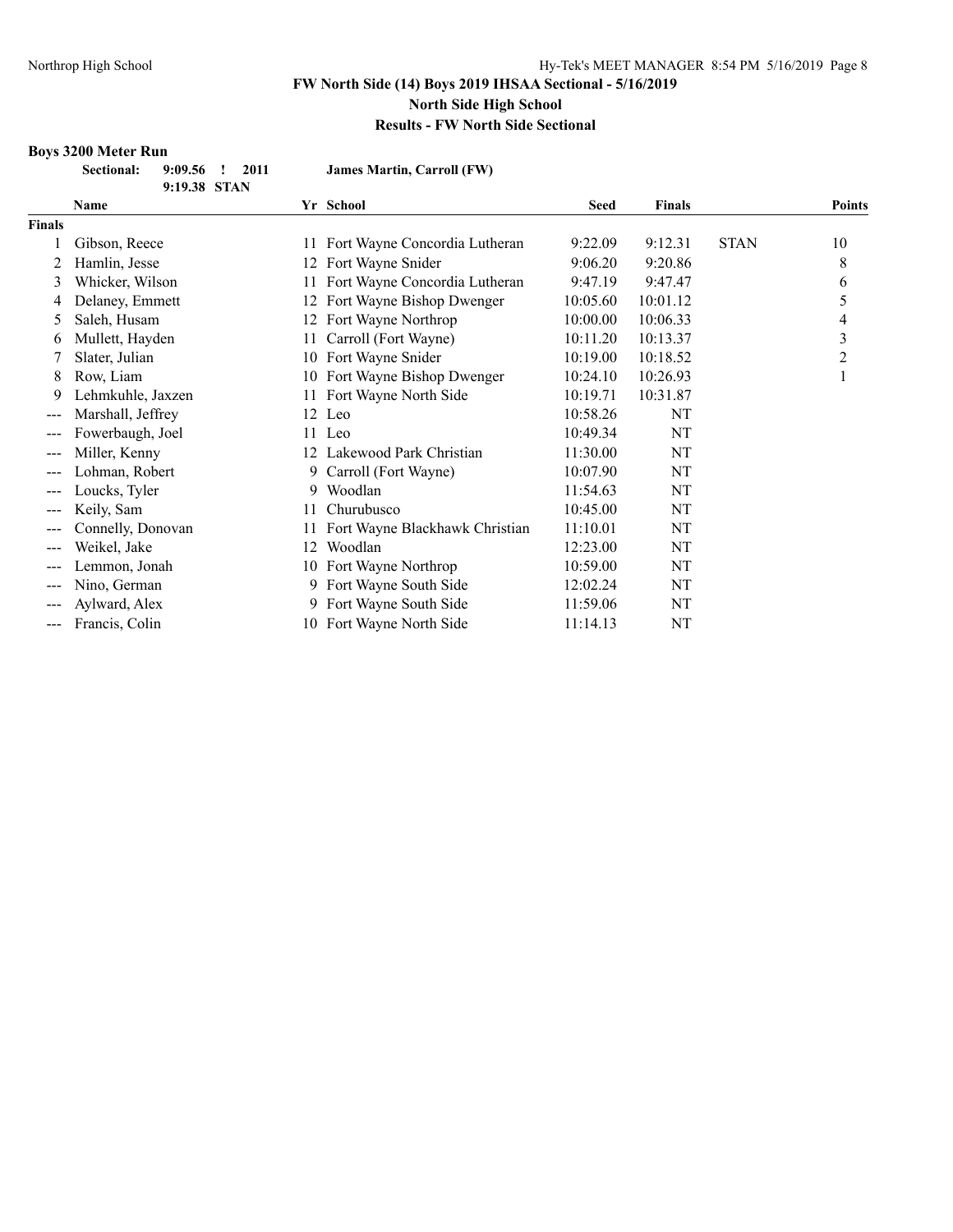#### **Results - FW North Side Sectional**

# **Boys 3200 Meter Run**

| <b>Sectional:</b> | $9:09.56$ ! 2011 | <b>James Martin, Carroll (FW)</b> |
|-------------------|------------------|-----------------------------------|
|                   | 9:19.38 STAN     |                                   |

|                   | <b>Name</b>       |     | Yr School                      | <b>Seed</b> | <b>Finals</b> |             | <b>Points</b> |
|-------------------|-------------------|-----|--------------------------------|-------------|---------------|-------------|---------------|
| Finals            |                   |     |                                |             |               |             |               |
|                   | Gibson, Reece     | 11  | Fort Wayne Concordia Lutheran  | 9:22.09     | 9:12.31       | <b>STAN</b> | 10            |
| 2                 | Hamlin, Jesse     | 12  | Fort Wayne Snider              | 9:06.20     | 9:20.86       |             | 8             |
| 3                 | Whicker, Wilson   | 11  | Fort Wayne Concordia Lutheran  | 9:47.19     | 9:47.47       |             | 6             |
| 4                 | Delaney, Emmett   | 12  | Fort Wayne Bishop Dwenger      | 10:05.60    | 10:01.12      |             | 5             |
| 5                 | Saleh, Husam      | 12  | Fort Wayne Northrop            | 10:00.00    | 10:06.33      |             | 4             |
| 6                 | Mullett, Hayden   | 11  | Carroll (Fort Wayne)           | 10:11.20    | 10:13.37      |             | 3             |
|                   | Slater, Julian    | 10  | Fort Wayne Snider              | 10:19.00    | 10:18.52      |             | 2             |
| 8                 | Row, Liam         | 10  | Fort Wayne Bishop Dwenger      | 10:24.10    | 10:26.93      |             | 1             |
| 9                 | Lehmkuhle, Jaxzen | 11  | Fort Wayne North Side          | 10:19.71    | 10:31.87      |             |               |
|                   | Marshall, Jeffrey |     | 12 Leo                         | 10:58.26    | NT            |             |               |
|                   | Fowerbaugh, Joel  |     | 11 Leo                         | 10:49.34    | NT            |             |               |
| $---$             | Miller, Kenny     | 12. | Lakewood Park Christian        | 11:30.00    | NT            |             |               |
| $\qquad \qquad -$ | Lohman, Robert    | 9   | Carroll (Fort Wayne)           | 10:07.90    | NT            |             |               |
| $---$             | Loucks, Tyler     | 9   | Woodlan                        | 11:54.63    | NT            |             |               |
| $---$             | Keily, Sam        | 11  | Churubusco                     | 10:45.00    | NT            |             |               |
| ---               | Connelly, Donovan |     | Fort Wayne Blackhawk Christian | 11:10.01    | NT            |             |               |
| $---$             | Weikel, Jake      | 12  | Woodlan                        | 12:23.00    | NT            |             |               |
|                   | Lemmon, Jonah     |     | 10 Fort Wayne Northrop         | 10:59.00    | NT            |             |               |
|                   | Nino, German      | 9   | Fort Wayne South Side          | 12:02.24    | NT            |             |               |
|                   | Aylward, Alex     | 9.  | Fort Wayne South Side          | 11:59.06    | NT            |             |               |
| ---               | Francis, Colin    |     | 10 Fort Wayne North Side       | 11:14.13    | NT            |             |               |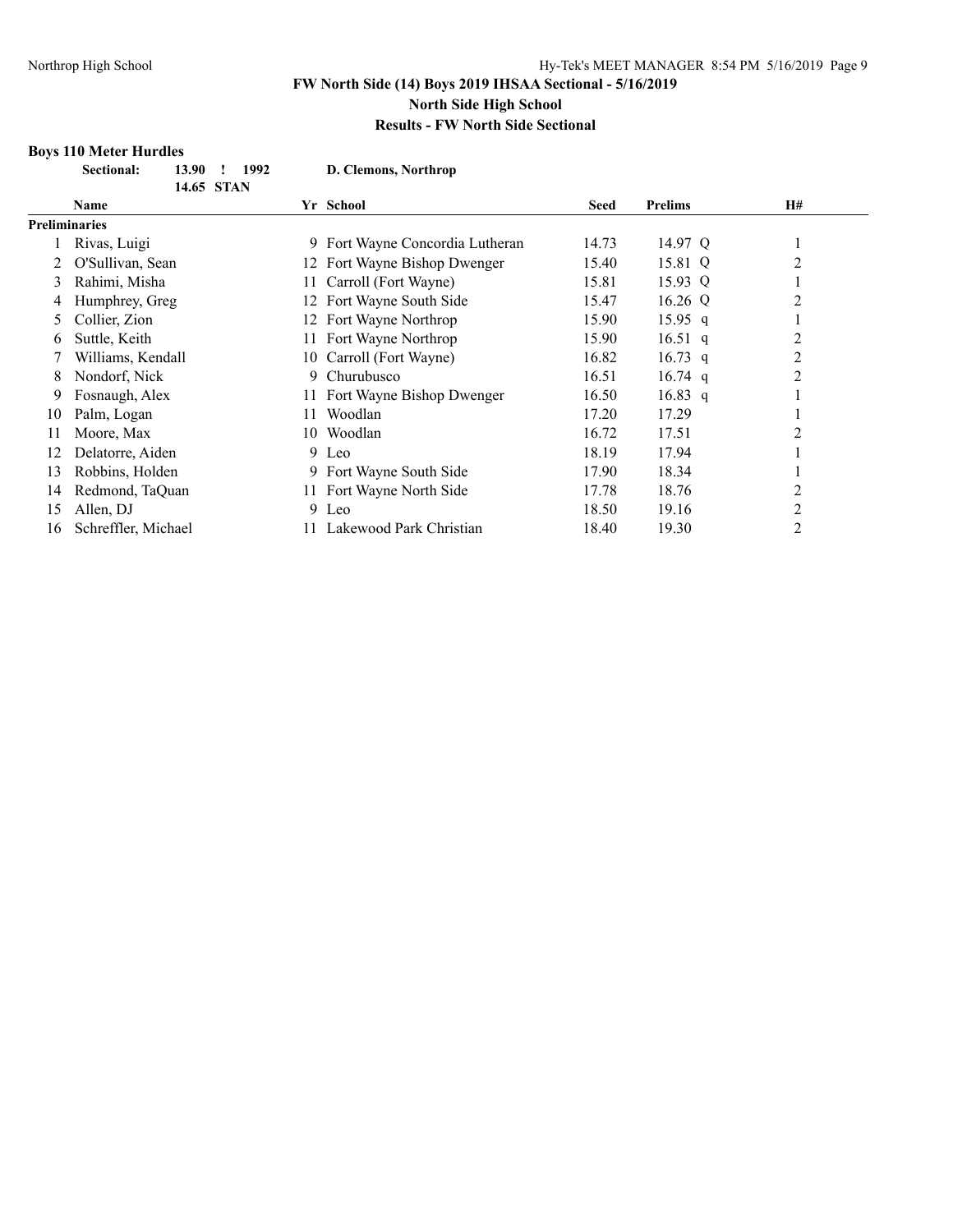#### **Boys 110 Meter Hurdles**

| <b>Sectional:</b> | 13.90 ! 1992 | D. Clemons, Northrop |
|-------------------|--------------|----------------------|
|                   | 14.65 STAN   |                      |

|    | 14.65 STAN           |     |                                 |             |                |    |
|----|----------------------|-----|---------------------------------|-------------|----------------|----|
|    | <b>Name</b>          |     | Yr School                       | <b>Seed</b> | <b>Prelims</b> | H# |
|    | <b>Preliminaries</b> |     |                                 |             |                |    |
|    | Rivas, Luigi         |     | 9 Fort Wayne Concordia Lutheran | 14.73       | 14.97 Q        |    |
|    | O'Sullivan, Sean     |     | 12 Fort Wayne Bishop Dwenger    | 15.40       | 15.81 Q        | 2  |
| 3  | Rahimi, Misha        | 11  | Carroll (Fort Wayne)            | 15.81       | 15.93 Q        |    |
| 4  | Humphrey, Greg       |     | 12 Fort Wayne South Side        | 15.47       | 16.26 Q        | 2  |
|    | Collier, Zion        |     | 12 Fort Wayne Northrop          | 15.90       | $15.95$ q      |    |
| 6  | Suttle, Keith        |     | 11 Fort Wayne Northrop          | 15.90       | 16.51 q        | 2  |
|    | Williams, Kendall    | 10  | Carroll (Fort Wayne)            | 16.82       | $16.73$ q      | 2  |
| 8  | Nondorf, Nick        | 9.  | Churubusco                      | 16.51       | $16.74$ q      | 2  |
| 9  | Fosnaugh, Alex       |     | 11 Fort Wayne Bishop Dwenger    | 16.50       | $16.83$ q      |    |
| 10 | Palm, Logan          | 11  | Woodlan                         | 17.20       | 17.29          |    |
| 11 | Moore, Max           | 10  | Woodlan                         | 16.72       | 17.51          | 2  |
| 12 | Delatorre, Aiden     |     | $9$ Leo                         | 18.19       | 17.94          |    |
| 13 | Robbins, Holden      |     | 9 Fort Wayne South Side         | 17.90       | 18.34          |    |
| 14 | Redmond, TaQuan      |     | 11 Fort Wayne North Side        | 17.78       | 18.76          | 2  |
| 15 | Allen, DJ            |     | 9 Leo                           | 18.50       | 19.16          | 2  |
| 16 | Schreffler, Michael  | 11. | Lakewood Park Christian         | 18.40       | 19.30          | 2  |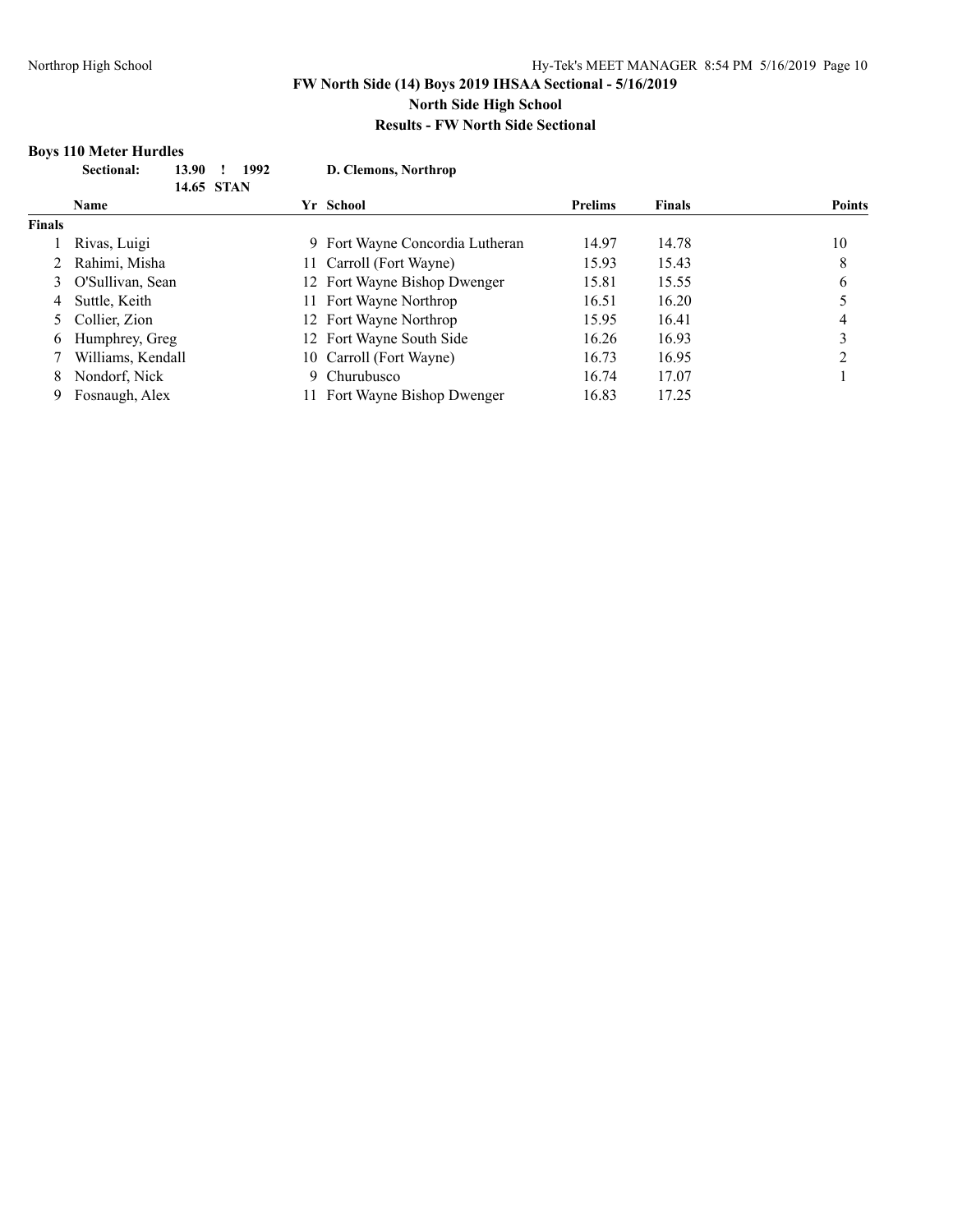# **Boys 110 Meter Hurdles**

|               | Sectional:<br>13.90<br>14.65 STAN | 1992 | D. Clemons, Northrop            |                |               |               |
|---------------|-----------------------------------|------|---------------------------------|----------------|---------------|---------------|
|               | <b>Name</b>                       |      | Yr School                       | <b>Prelims</b> | <b>Finals</b> | <b>Points</b> |
| <b>Finals</b> |                                   |      |                                 |                |               |               |
|               | Rivas, Luigi                      |      | 9 Fort Wayne Concordia Lutheran | 14.97          | 14.78         | 10            |
|               | Rahimi, Misha                     |      | 11 Carroll (Fort Wayne)         | 15.93          | 15.43         | 8             |
| 3             | O'Sullivan, Sean                  |      | 12 Fort Wayne Bishop Dwenger    | 15.81          | 15.55         | 6             |
| 4             | Suttle, Keith                     |      | 11 Fort Wayne Northrop          | 16.51          | 16.20         |               |
|               | 5 Collier, Zion                   |      | 12 Fort Wayne Northrop          | 15.95          | 16.41         | 4             |
| 6             | Humphrey, Greg                    |      | 12 Fort Wayne South Side        | 16.26          | 16.93         |               |
|               | Williams, Kendall                 |      | 10 Carroll (Fort Wayne)         | 16.73          | 16.95         |               |
| 8             | Nondorf, Nick                     | 9.   | Churubusco                      | 16.74          | 17.07         |               |
| 9             | Fosnaugh, Alex                    |      | Fort Wayne Bishop Dwenger       | 16.83          | 17.25         |               |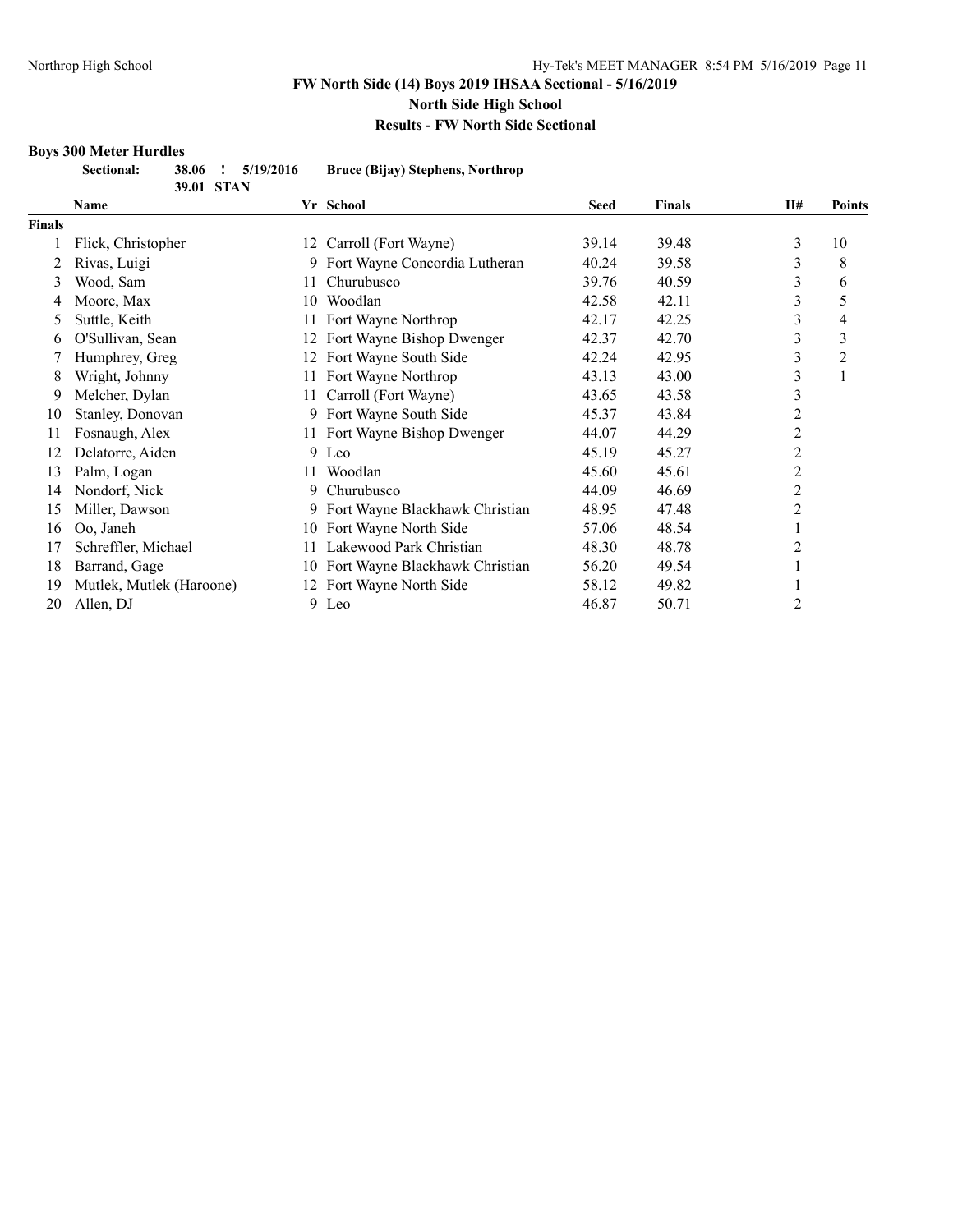# **Boys 300 Meter Hurdles**

| .                 |            |                   |                                  |
|-------------------|------------|-------------------|----------------------------------|
| <b>Sectional:</b> |            | 38.06 ! 5/19/2016 | Bruce (Bijay) Stephens, Northrop |
|                   | 39.01 STAN |                   |                                  |

|        | $J$ . UI DIAR            |    |                                |             |               |    |               |
|--------|--------------------------|----|--------------------------------|-------------|---------------|----|---------------|
|        | Name                     |    | Yr School                      | <b>Seed</b> | <b>Finals</b> | H# | <b>Points</b> |
| Finals |                          |    |                                |             |               |    |               |
|        | Flick, Christopher       |    | 12 Carroll (Fort Wayne)        | 39.14       | 39.48         | 3  | 10            |
|        | Rivas, Luigi             | 9  | Fort Wayne Concordia Lutheran  | 40.24       | 39.58         | 3  | 8             |
| 3      | Wood, Sam                | 11 | Churubusco                     | 39.76       | 40.59         | 3  | 6             |
| 4      | Moore, Max               | 10 | Woodlan                        | 42.58       | 42.11         | 3  | 5             |
| 5      | Suttle, Keith            |    | Fort Wayne Northrop            | 42.17       | 42.25         | 3  | 4             |
| 6      | O'Sullivan, Sean         | 12 | Fort Wayne Bishop Dwenger      | 42.37       | 42.70         | 3  | 3             |
|        | Humphrey, Greg           | 12 | Fort Wayne South Side          | 42.24       | 42.95         | 3  | 2             |
| 8      | Wright, Johnny           | 11 | Fort Wayne Northrop            | 43.13       | 43.00         | 3  |               |
| 9      | Melcher, Dylan           | 11 | Carroll (Fort Wayne)           | 43.65       | 43.58         | 3  |               |
| 10     | Stanley, Donovan         | 9  | Fort Wayne South Side          | 45.37       | 43.84         | 2  |               |
| 11     | Fosnaugh, Alex           |    | 11 Fort Wayne Bishop Dwenger   | 44.07       | 44.29         | 2  |               |
| 12     | Delatorre, Aiden         |    | 9 Leo                          | 45.19       | 45.27         | 2  |               |
| 13     | Palm, Logan              | 11 | Woodlan                        | 45.60       | 45.61         | 2  |               |
| 14     | Nondorf, Nick            | 9  | Churubusco                     | 44.09       | 46.69         | 2  |               |
| 15     | Miller, Dawson           |    | Fort Wayne Blackhawk Christian | 48.95       | 47.48         | 2  |               |
| 16     | Oo, Janeh                | 10 | Fort Wayne North Side          | 57.06       | 48.54         |    |               |
| 17     | Schreffler, Michael      |    | Lakewood Park Christian        | 48.30       | 48.78         | 2  |               |
| 18     | Barrand, Gage            | 10 | Fort Wayne Blackhawk Christian | 56.20       | 49.54         |    |               |
| 19     | Mutlek, Mutlek (Haroone) |    | Fort Wayne North Side          | 58.12       | 49.82         |    |               |
| 20     | Allen, DJ                | 9  | Leo                            | 46.87       | 50.71         | 2  |               |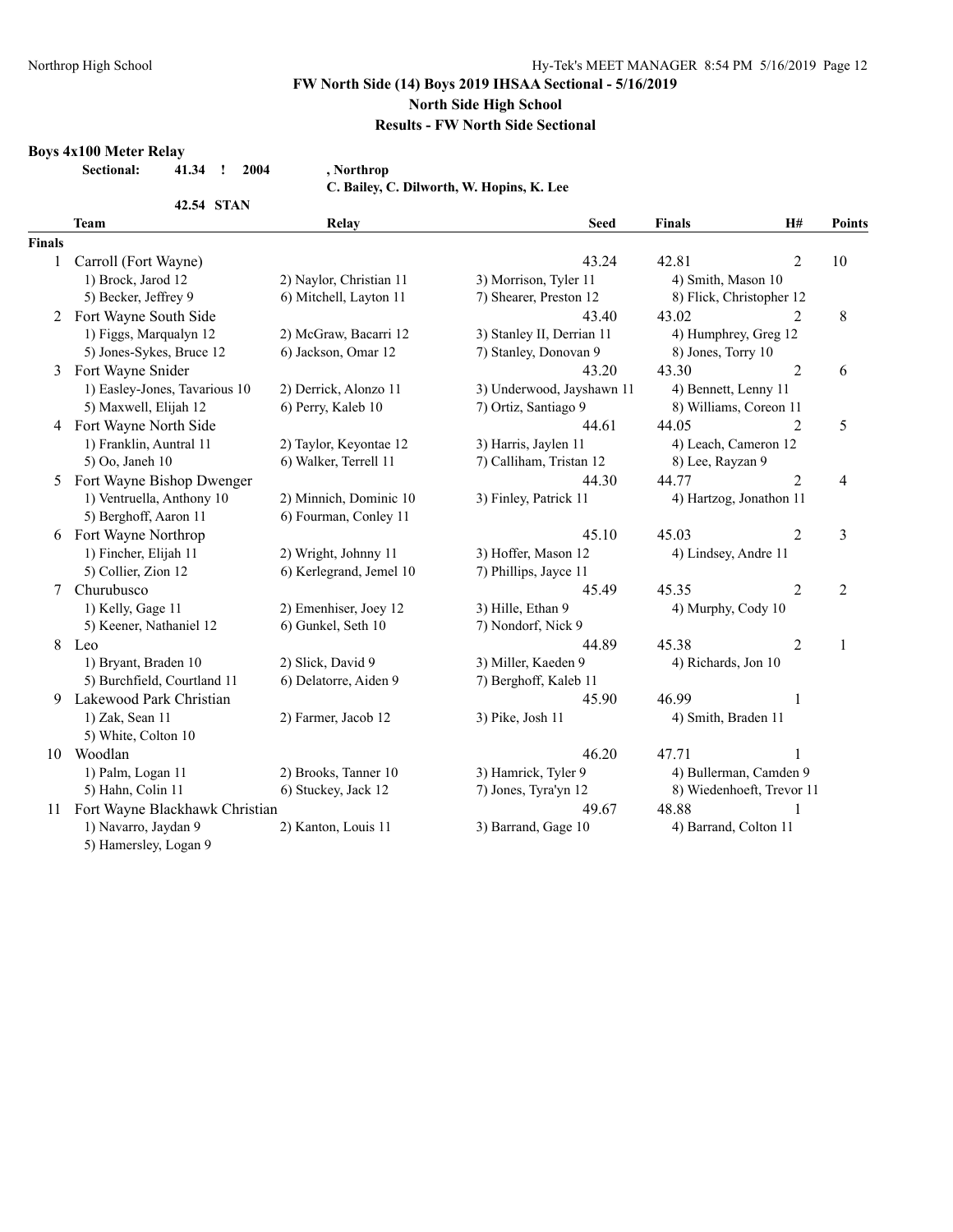# **FW North Side (14) Boys 2019 IHSAA Sectional - 5/16/2019**

#### **North Side High School**

## **Results - FW North Side Sectional**

#### **Boys 4x100 Meter Relay**

**Sectional: 41.34 ! 2004 , Northrop**

**42.54 STAN**

**C. Bailey, C. Dilworth, W. Hopins, K. Lee**

|        | <b>Team</b>                       | Relay                   | <b>Seed</b>               | <b>Finals</b>            | H#                        | <b>Points</b>  |
|--------|-----------------------------------|-------------------------|---------------------------|--------------------------|---------------------------|----------------|
| Finals |                                   |                         |                           |                          |                           |                |
| 1      | Carroll (Fort Wayne)              |                         | 43.24                     | 42.81                    | 2                         | 10             |
|        | 1) Brock, Jarod 12                | 2) Naylor, Christian 11 | 3) Morrison, Tyler 11     | 4) Smith, Mason 10       |                           |                |
|        | 5) Becker, Jeffrey 9              | 6) Mitchell, Layton 11  | 7) Shearer, Preston 12    | 8) Flick, Christopher 12 |                           |                |
| 2      | Fort Wayne South Side             |                         | 43.40                     | 43.02                    | 2                         | 8              |
|        | 1) Figgs, Marqualyn 12            | 2) McGraw, Bacarri 12   | 3) Stanley II, Derrian 11 | 4) Humphrey, Greg 12     |                           |                |
|        | 5) Jones-Sykes, Bruce 12          | 6) Jackson, Omar 12     | 7) Stanley, Donovan 9     | 8) Jones, Torry 10       |                           |                |
| 3      | Fort Wayne Snider                 |                         | 43.20                     | 43.30                    | $\overline{2}$            | 6              |
|        | 1) Easley-Jones, Tavarious 10     | 2) Derrick, Alonzo 11   | 3) Underwood, Jayshawn 11 | 4) Bennett, Lenny 11     |                           |                |
|        | 5) Maxwell, Elijah 12             | 6) Perry, Kaleb 10      | 7) Ortiz, Santiago 9      | 8) Williams, Coreon 11   |                           |                |
|        | 4 Fort Wayne North Side           |                         | 44.61                     | 44.05                    | 2                         | 5              |
|        | 1) Franklin, Auntral 11           | 2) Taylor, Keyontae 12  | 3) Harris, Jaylen 11      | 4) Leach, Cameron 12     |                           |                |
|        | 5) Oo, Janeh 10                   | 6) Walker, Terrell 11   | 7) Calliham, Tristan 12   | 8) Lee, Rayzan 9         |                           |                |
| 5      | Fort Wayne Bishop Dwenger         |                         | 44.30                     | 44.77                    | $\overline{2}$            | $\overline{4}$ |
|        | 1) Ventruella, Anthony 10         | 2) Minnich, Dominic 10  | 3) Finley, Patrick 11     |                          | 4) Hartzog, Jonathon 11   |                |
|        | 5) Berghoff, Aaron 11             | 6) Fourman, Conley 11   |                           |                          |                           |                |
| 6      | Fort Wayne Northrop               |                         | 45.10                     | 45.03                    | 2                         | 3              |
|        | 1) Fincher, Elijah 11             | 2) Wright, Johnny 11    | 3) Hoffer, Mason 12       | 4) Lindsey, Andre 11     |                           |                |
|        | 5) Collier, Zion 12               | 6) Kerlegrand, Jemel 10 | 7) Phillips, Jayce 11     |                          |                           |                |
| 7      | Churubusco                        |                         | 45.49                     | 45.35                    | $\overline{2}$            | 2              |
|        | 1) Kelly, Gage 11                 | 2) Emenhiser, Joey 12   | 3) Hille, Ethan 9         | 4) Murphy, Cody 10       |                           |                |
|        | 5) Keener, Nathaniel 12           | 6) Gunkel, Seth 10      | 7) Nondorf, Nick 9        |                          |                           |                |
| 8      | Leo                               |                         | 44.89                     | 45.38                    | $\overline{2}$            | 1              |
|        | 1) Bryant, Braden 10              | 2) Slick, David 9       | 3) Miller, Kaeden 9       | 4) Richards, Jon 10      |                           |                |
|        | 5) Burchfield, Courtland 11       | 6) Delatorre, Aiden 9   | 7) Berghoff, Kaleb 11     |                          |                           |                |
| 9      | Lakewood Park Christian           |                         | 45.90                     | 46.99                    | 1                         |                |
|        | 1) Zak, Sean 11                   | 2) Farmer, Jacob 12     | 3) Pike, Josh 11          | 4) Smith, Braden 11      |                           |                |
|        | 5) White, Colton 10               |                         |                           |                          |                           |                |
| 10     | Woodlan                           |                         | 46.20                     | 47.71                    |                           |                |
|        | 1) Palm, Logan 11                 | 2) Brooks, Tanner 10    | 3) Hamrick, Tyler 9       |                          | 4) Bullerman, Camden 9    |                |
|        | 5) Hahn, Colin 11                 | 6) Stuckey, Jack 12     | 7) Jones, Tyra'yn 12      |                          | 8) Wiedenhoeft, Trevor 11 |                |
|        | 11 Fort Wayne Blackhawk Christian |                         | 49.67                     | 48.88                    | 1                         |                |
|        | 1) Navarro, Jaydan 9              | 2) Kanton, Louis 11     | 3) Barrand, Gage 10       | 4) Barrand, Colton 11    |                           |                |
|        | 5) Hamersley, Logan 9             |                         |                           |                          |                           |                |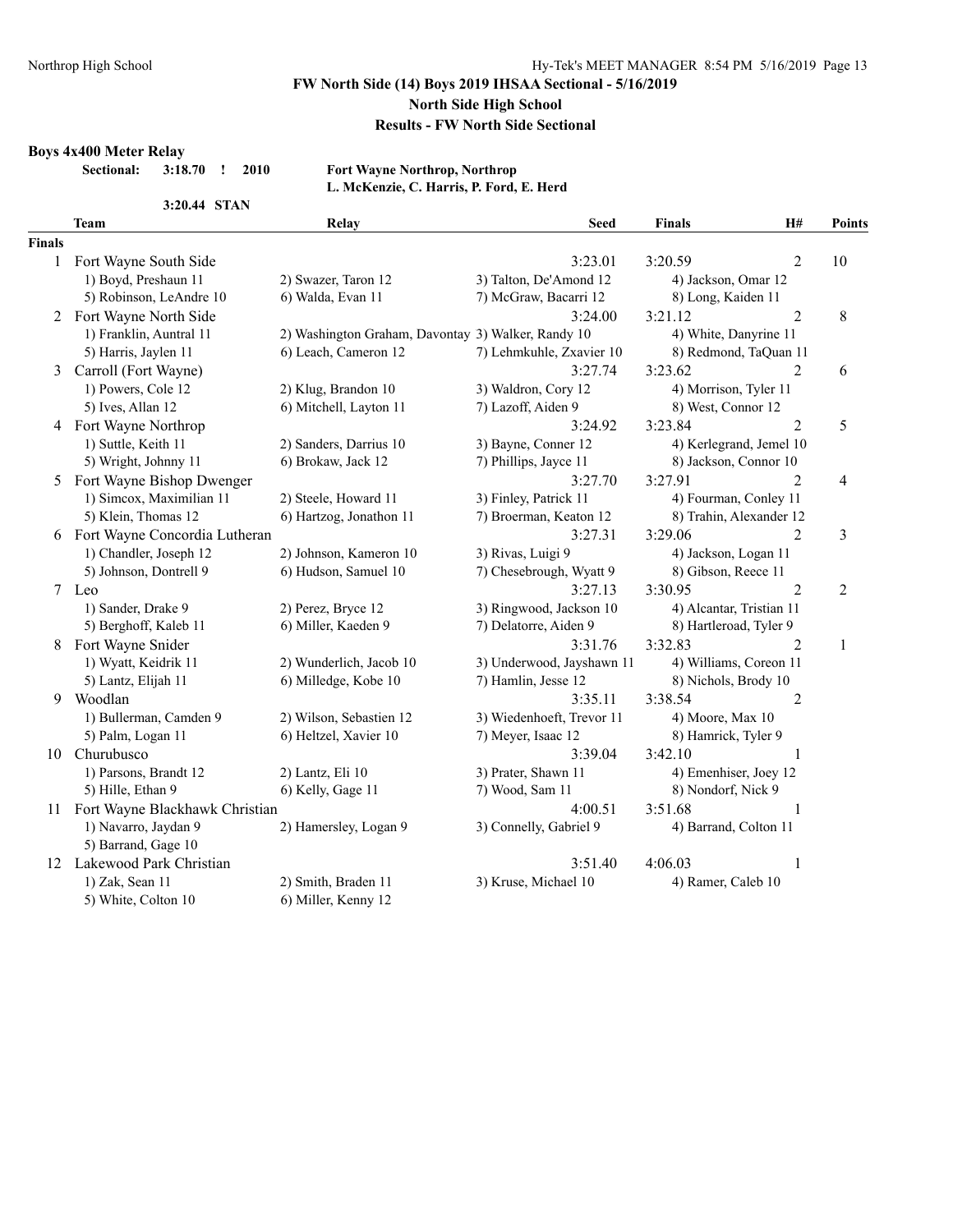# **FW North Side (14) Boys 2019 IHSAA Sectional - 5/16/2019**

# **North Side High School**

#### **Results - FW North Side Sectional**

#### **Boys 4x400 Meter Relay**

**3:20.44 STAN**

#### **Sectional: 3:18.70 ! 2010 Fort Wayne Northrop, Northrop L. McKenzie, C. Harris, P. Ford, E. Herd**

|               | <b>Team</b>                       | <b>Relay</b>                                       | <b>Seed</b>               | <b>Finals</b>            | H#             | Points         |
|---------------|-----------------------------------|----------------------------------------------------|---------------------------|--------------------------|----------------|----------------|
| <b>Finals</b> |                                   |                                                    |                           |                          |                |                |
| $\mathbf{1}$  | Fort Wayne South Side             |                                                    | 3:23.01                   | 3:20.59                  | $\overline{2}$ | 10             |
|               | 1) Boyd, Preshaun 11              | 2) Swazer, Taron 12                                | 3) Talton, De'Amond 12    | 4) Jackson, Omar 12      |                |                |
|               | 5) Robinson, LeAndre 10           | 6) Walda, Evan 11                                  | 7) McGraw, Bacarri 12     | 8) Long, Kaiden 11       |                |                |
| 2             | Fort Wayne North Side             |                                                    | 3:24.00                   | 3:21.12                  | $\overline{2}$ | 8              |
|               | 1) Franklin, Auntral 11           | 2) Washington Graham, Davontay 3) Walker, Randy 10 |                           | 4) White, Danyrine 11    |                |                |
|               | 5) Harris, Jaylen 11              | 6) Leach, Cameron 12                               | 7) Lehmkuhle, Zxavier 10  | 8) Redmond, TaQuan 11    |                |                |
| 3             | Carroll (Fort Wayne)              |                                                    | 3:27.74                   | 3:23.62                  | 2              | 6              |
|               | 1) Powers, Cole 12                | 2) Klug, Brandon 10                                | 3) Waldron, Cory 12       | 4) Morrison, Tyler 11    |                |                |
|               | 5) Ives, Allan 12                 | 6) Mitchell, Layton 11                             | 7) Lazoff, Aiden 9        | 8) West, Connor 12       |                |                |
|               | 4 Fort Wayne Northrop             |                                                    | 3:24.92                   | 3:23.84                  | $\overline{2}$ | 5              |
|               | 1) Suttle, Keith 11               | 2) Sanders, Darrius 10                             | 3) Bayne, Conner 12       | 4) Kerlegrand, Jemel 10  |                |                |
|               | 5) Wright, Johnny 11              | 6) Brokaw, Jack 12                                 | 7) Phillips, Jayce 11     | 8) Jackson, Connor 10    |                |                |
|               | 5 Fort Wayne Bishop Dwenger       |                                                    | 3:27.70                   | 3:27.91                  | $\overline{2}$ | 4              |
|               | 1) Simcox, Maximilian 11          | 2) Steele, Howard 11                               | 3) Finley, Patrick 11     | 4) Fourman, Conley 11    |                |                |
|               | 5) Klein, Thomas 12               | 6) Hartzog, Jonathon 11                            | 7) Broerman, Keaton 12    | 8) Trahin, Alexander 12  |                |                |
|               | 6 Fort Wayne Concordia Lutheran   |                                                    | 3:27.31                   | 3:29.06                  | $\overline{2}$ | 3              |
|               | 1) Chandler, Joseph 12            | 2) Johnson, Kameron 10                             | 3) Rivas, Luigi 9         | 4) Jackson, Logan 11     |                |                |
|               | 5) Johnson, Dontrell 9            | 6) Hudson, Samuel 10                               | 7) Chesebrough, Wyatt 9   | 8) Gibson, Reece 11      |                |                |
|               | 7 Leo                             |                                                    | 3:27.13                   | 3:30.95                  | $\overline{2}$ | $\overline{2}$ |
|               | 1) Sander, Drake 9                | 2) Perez, Bryce 12                                 | 3) Ringwood, Jackson 10   | 4) Alcantar, Tristian 11 |                |                |
|               | 5) Berghoff, Kaleb 11             | 6) Miller, Kaeden 9                                | 7) Delatorre, Aiden 9     | 8) Hartleroad, Tyler 9   |                |                |
| 8             | Fort Wayne Snider                 |                                                    | 3:31.76                   | 3:32.83                  | $\overline{2}$ | 1              |
|               | 1) Wyatt, Keidrik 11              | 2) Wunderlich, Jacob 10                            | 3) Underwood, Jayshawn 11 | 4) Williams, Coreon 11   |                |                |
|               | 5) Lantz, Elijah 11               | 6) Milledge, Kobe 10                               | 7) Hamlin, Jesse 12       | 8) Nichols, Brody 10     |                |                |
| 9             | Woodlan                           |                                                    | 3:35.11                   | 3:38.54                  | $\overline{2}$ |                |
|               | 1) Bullerman, Camden 9            | 2) Wilson, Sebastien 12                            | 3) Wiedenhoeft, Trevor 11 | 4) Moore, Max 10         |                |                |
|               | 5) Palm, Logan 11                 | 6) Heltzel, Xavier 10                              | 7) Meyer, Isaac 12        | 8) Hamrick, Tyler 9      |                |                |
|               | 10 Churubusco                     |                                                    | 3:39.04                   | 3:42.10                  | 1              |                |
|               | 1) Parsons, Brandt 12             | 2) Lantz, Eli 10                                   | 3) Prater, Shawn 11       | 4) Emenhiser, Joey 12    |                |                |
|               | 5) Hille, Ethan 9                 | 6) Kelly, Gage 11                                  | 7) Wood, Sam 11           | 8) Nondorf, Nick 9       |                |                |
|               | 11 Fort Wayne Blackhawk Christian |                                                    | 4:00.51                   | 3:51.68                  | 1              |                |
|               | 1) Navarro, Jaydan 9              | 2) Hamersley, Logan 9                              | 3) Connelly, Gabriel 9    | 4) Barrand, Colton 11    |                |                |
|               | 5) Barrand, Gage 10               |                                                    |                           |                          |                |                |
| 12            | Lakewood Park Christian           |                                                    | 3:51.40                   | 4:06.03                  | $\mathbf{1}$   |                |
|               | 1) Zak, Sean 11                   | 2) Smith, Braden 11                                | 3) Kruse, Michael 10      | 4) Ramer, Caleb 10       |                |                |
|               | 5) White, Colton 10               | 6) Miller, Kenny 12                                |                           |                          |                |                |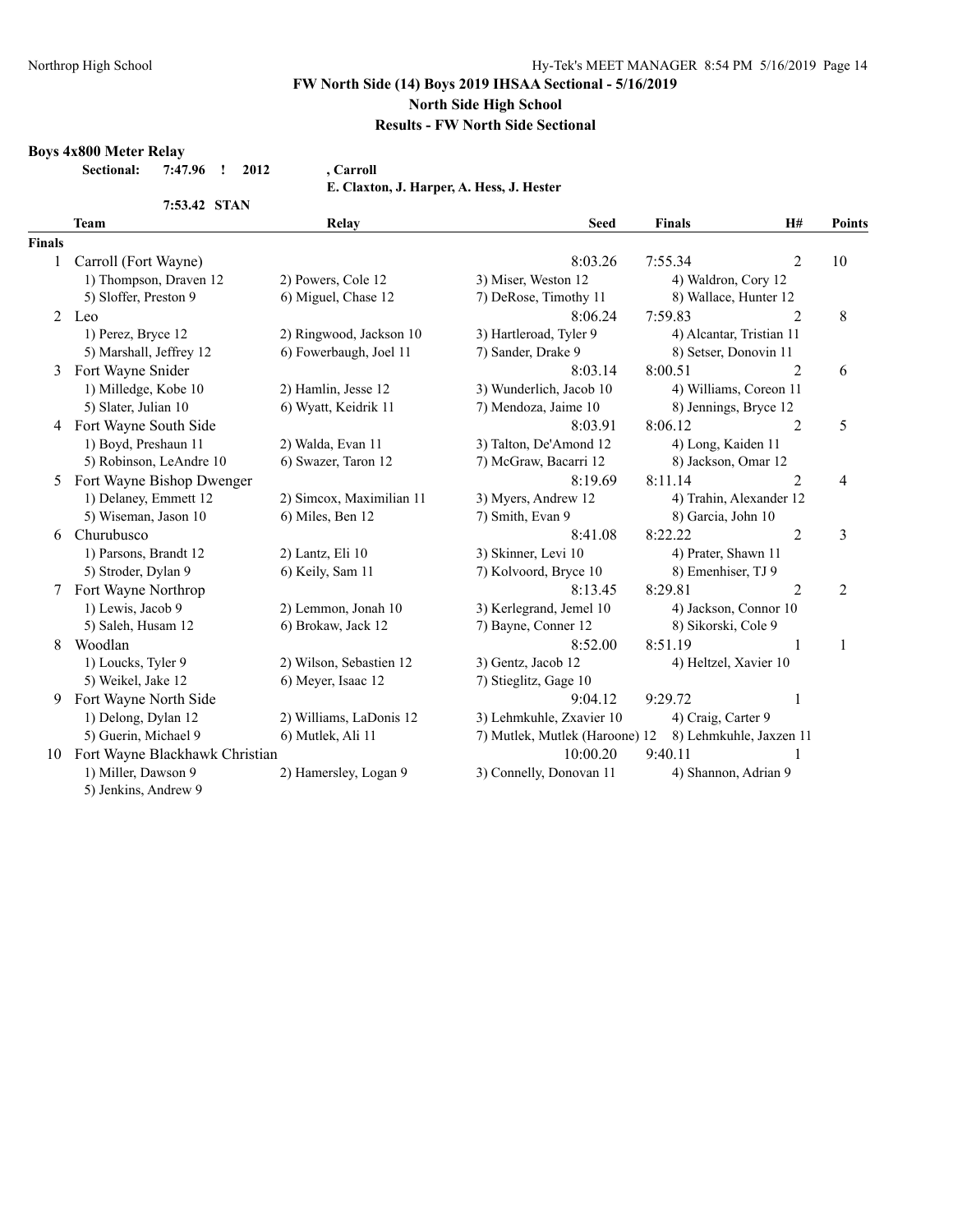#### **FW North Side (14) Boys 2019 IHSAA Sectional - 5/16/2019**

#### **North Side High School**

## **Results - FW North Side Sectional**

#### **Boys 4x800 Meter Relay**

**Sectional: 7:47.96 ! 2012 , Carroll**

**E. Claxton, J. Harper, A. Hess, J. Hester**

|               | 7:53.42 STAN                   |                          |                                |                          |                         |                |
|---------------|--------------------------------|--------------------------|--------------------------------|--------------------------|-------------------------|----------------|
|               | <b>Team</b>                    | Relay                    | <b>Seed</b>                    | <b>Finals</b>            | H#                      | <b>Points</b>  |
| <b>Finals</b> |                                |                          |                                |                          |                         |                |
|               | Carroll (Fort Wayne)           |                          | 8:03.26                        | 7:55.34                  | $\overline{2}$          | 10             |
|               | 1) Thompson, Draven 12         | 2) Powers, Cole 12       | 3) Miser, Weston 12            | 4) Waldron, Cory 12      |                         |                |
|               | 5) Sloffer, Preston 9          | 6) Miguel, Chase 12      | 7) DeRose, Timothy 11          | 8) Wallace, Hunter 12    |                         |                |
| 2             | Leo                            |                          | 8:06.24                        | 7:59.83                  | $\mathfrak{D}$          | 8              |
|               | 1) Perez, Bryce 12             | 2) Ringwood, Jackson 10  | 3) Hartleroad, Tyler 9         | 4) Alcantar, Tristian 11 |                         |                |
|               | 5) Marshall, Jeffrey 12        | 6) Fowerbaugh, Joel 11   | 7) Sander, Drake 9             | 8) Setser, Donovin 11    |                         |                |
| 3             | Fort Wayne Snider              |                          | 8:03.14                        | 8:00.51                  | $\overline{2}$          | 6              |
|               | 1) Milledge, Kobe 10           | 2) Hamlin, Jesse 12      | 3) Wunderlich, Jacob 10        | 4) Williams, Coreon 11   |                         |                |
|               | 5) Slater, Julian 10           | 6) Wyatt, Keidrik 11     | 7) Mendoza, Jaime 10           | 8) Jennings, Bryce 12    |                         |                |
| 4             | Fort Wayne South Side          |                          | 8:03.91                        | 8:06.12                  | $\overline{2}$          | 5              |
|               | 1) Boyd, Preshaun 11           | 2) Walda, Evan 11        | 3) Talton, De'Amond 12         | 4) Long, Kaiden 11       |                         |                |
|               | 5) Robinson, LeAndre 10        | 6) Swazer, Taron 12      | 7) McGraw, Bacarri 12          | 8) Jackson, Omar 12      |                         |                |
| 5             | Fort Wayne Bishop Dwenger      |                          | 8:19.69                        | 8:11.14                  | $\overline{2}$          | 4              |
|               | 1) Delaney, Emmett 12          | 2) Simcox, Maximilian 11 | 3) Myers, Andrew 12            |                          | 4) Trahin, Alexander 12 |                |
|               | 5) Wiseman, Jason 10           | 6) Miles, Ben 12         | 7) Smith, Evan 9               | 8) Garcia, John 10       |                         |                |
| 6             | Churubusco                     |                          | 8:41.08                        | 8:22.22                  | $\overline{2}$          | 3              |
|               | 1) Parsons, Brandt 12          | 2) Lantz, Eli 10         | 3) Skinner, Levi 10            | 4) Prater, Shawn 11      |                         |                |
|               | 5) Stroder, Dylan 9            | 6) Keily, Sam 11         | 7) Kolvoord, Bryce 10          | 8) Emenhiser, TJ 9       |                         |                |
| 7             | Fort Wayne Northrop            |                          | 8:13.45                        | 8:29.81                  | $\overline{2}$          | $\overline{2}$ |
|               | 1) Lewis, Jacob 9              | 2) Lemmon, Jonah 10      | 3) Kerlegrand, Jemel 10        | 4) Jackson, Connor 10    |                         |                |
|               | 5) Saleh, Husam 12             | 6) Brokaw, Jack 12       | 7) Bayne, Conner 12            | 8) Sikorski, Cole 9      |                         |                |
| 8             | Woodlan                        |                          | 8:52.00                        | 8:51.19                  | 1                       | $\mathbf{1}$   |
|               | 1) Loucks, Tyler 9             | 2) Wilson, Sebastien 12  | 3) Gentz, Jacob 12             | 4) Heltzel, Xavier 10    |                         |                |
|               | 5) Weikel, Jake 12             | 6) Meyer, Isaac 12       | 7) Stieglitz, Gage 10          |                          |                         |                |
| 9             | Fort Wayne North Side          |                          | 9:04.12                        | 9:29.72                  | 1                       |                |
|               | 1) Delong, Dylan 12            | 2) Williams, LaDonis 12  | 3) Lehmkuhle, Zxavier 10       | 4) Craig, Carter 9       |                         |                |
|               | 5) Guerin, Michael 9           | 6) Mutlek, Ali 11        | 7) Mutlek, Mutlek (Haroone) 12 |                          | 8) Lehmkuhle, Jaxzen 11 |                |
| 10            | Fort Wayne Blackhawk Christian |                          | 10:00.20                       | 9:40.11                  |                         |                |
|               | 1) Miller, Dawson 9            | 2) Hamersley, Logan 9    | 3) Connelly, Donovan 11        | 4) Shannon, Adrian 9     |                         |                |
|               | 5) Jenkins, Andrew 9           |                          |                                |                          |                         |                |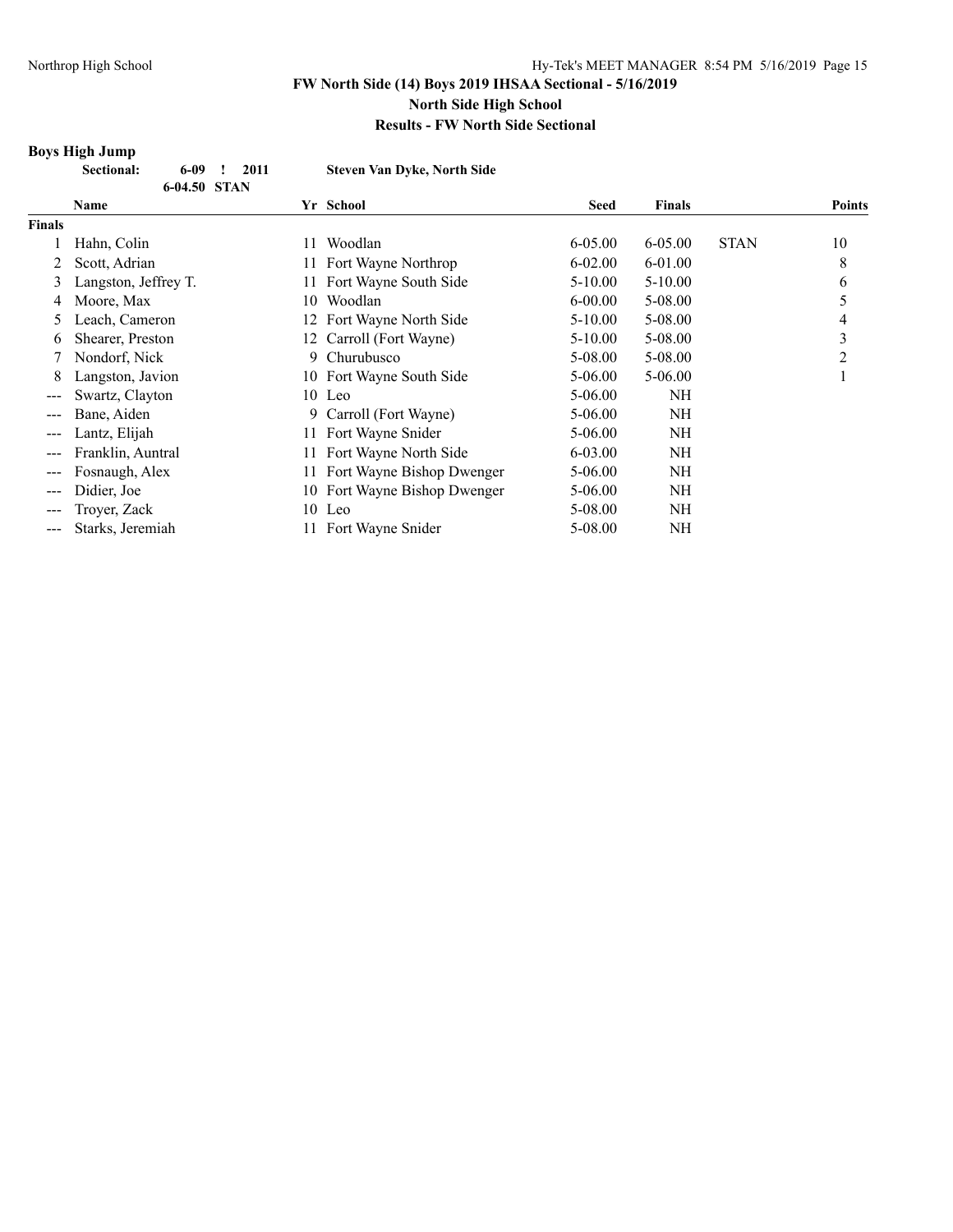## **Boys High Jump**

|        | <b>Sectional:</b> | 6-09<br>6-04.50 STAN | 2011 | <b>Steven Van Dyke, North Side</b> |  |           |             |               |             |        |
|--------|-------------------|----------------------|------|------------------------------------|--|-----------|-------------|---------------|-------------|--------|
|        | <b>Name</b>       |                      |      |                                    |  | Yr School | <b>Seed</b> | <b>Finals</b> |             | Points |
| Finals |                   |                      |      |                                    |  |           |             |               |             |        |
|        | Hahn Colin        |                      |      |                                    |  | Woodlan   | $6-0500$    | 6-05.00       | <b>STAN</b> | 1 ∩    |

|       | Hahn, Colin          | 11 | Woodlan                      | $6 - 05.00$ | $6 - 05.00$ | <b>STAN</b> | 10 |
|-------|----------------------|----|------------------------------|-------------|-------------|-------------|----|
| 2     | Scott, Adrian        |    | 11 Fort Wayne Northrop       | $6 - 02.00$ | 6-01.00     |             | 8  |
|       | Langston, Jeffrey T. |    | 11 Fort Wayne South Side     | $5 - 10.00$ | $5-10.00$   |             | 6  |
| 4     | Moore, Max           | 10 | Woodlan                      | $6 - 00.00$ | 5-08.00     |             |    |
|       | Leach, Cameron       |    | 12 Fort Wayne North Side     | $5 - 10.00$ | 5-08.00     |             | 4  |
| 6.    | Shearer, Preston     |    | 12 Carroll (Fort Wayne)      | $5 - 10.00$ | 5-08.00     |             | 3  |
|       | Nondorf, Nick        |    | 9 Churubusco                 | 5-08.00     | 5-08.00     |             |    |
| 8.    | Langston, Javion     |    | 10 Fort Wayne South Side     | $5 - 06.00$ | $5 - 06.00$ |             |    |
|       | Swartz, Clayton      |    | 10 Leo                       | 5-06.00     | NH          |             |    |
|       | Bane, Aiden          |    | 9 Carroll (Fort Wayne)       | $5 - 06.00$ | NH          |             |    |
|       | Lantz, Elijah        |    | 11 Fort Wayne Snider         | $5 - 06.00$ | NH          |             |    |
| $---$ | Franklin, Auntral    |    | 11 Fort Wayne North Side     | $6 - 03.00$ | NH          |             |    |
|       | Fosnaugh, Alex       |    | 11 Fort Wayne Bishop Dwenger | $5 - 06.00$ | NH          |             |    |
| $---$ | Didier, Joe          |    | 10 Fort Wayne Bishop Dwenger | $5 - 06.00$ | NH          |             |    |
|       | Troyer, Zack         |    | $10$ Leo                     | 5-08.00     | NH          |             |    |
|       | Starks, Jeremiah     |    | 11 Fort Wayne Snider         | 5-08.00     | NH          |             |    |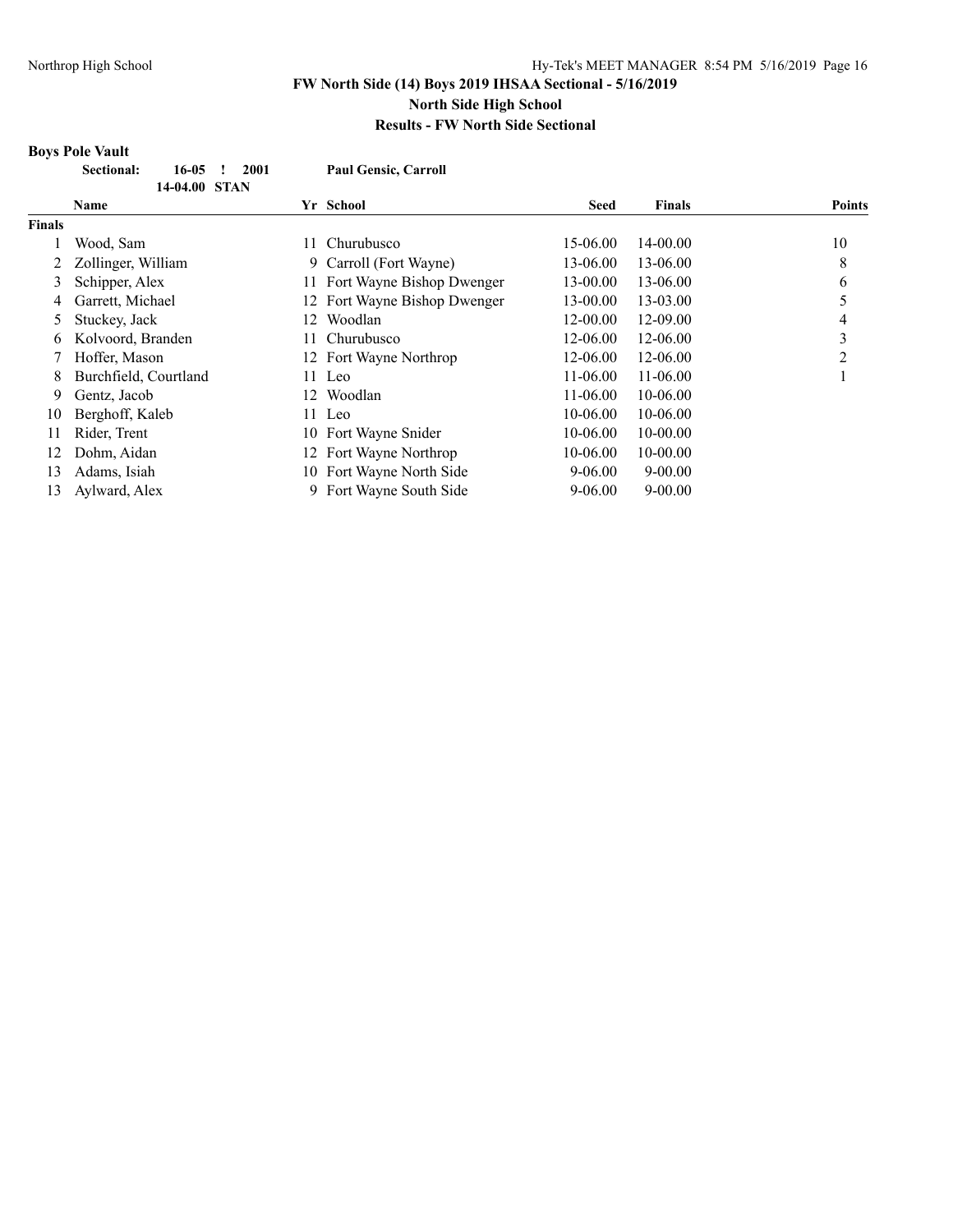#### **Boys Pole Vault Sectional: 16-05 ! 2001 Paul Gensic, Carroll 14-04.00 STAN Name Yr School Seed Finals Points Finals** 1 Wood, Sam 11 Churubusco 15-06.00 14-00.00 10 2 Zollinger, William 9 Carroll (Fort Wayne) 13-06.00 13-06.00 8 3 Schipper, Alex 11 Fort Wayne Bishop Dwenger 13-00.00 13-06.00 6 4 Garrett, Michael 12 Fort Wayne Bishop Dwenger 13-00.00 13-03.00 5 5 Stuckey, Jack 12 Woodlan 12-00.00 12-09.00 4 6 Kolvoord, Branden 11 Churubusco 12-06.00 12-06.00 3 7 Hoffer, Mason 12 Fort Wayne Northrop 12-06.00 12-06.00 2 8 Burchfield, Courtland 11 Leo 11-06.00 11-06.00 11-06.00 1 9 Gentz, Jacob 12 Woodlan 11-06.00 10-06.00 10 Berghoff, Kaleb 11 Leo 10-06.00 10-06.00 10-06.00 11 Rider, Trent 10 Fort Wayne Snider 10-06.00 10-00.00 12 Dohm, Aidan 12 Fort Wayne Northrop 10-06.00 10-00.00 13 Adams, Isiah 10 Fort Wayne North Side 9-06.00 9-00.00 13 Aylward, Alex 9 Fort Wayne South Side 9-06.00 9-00.00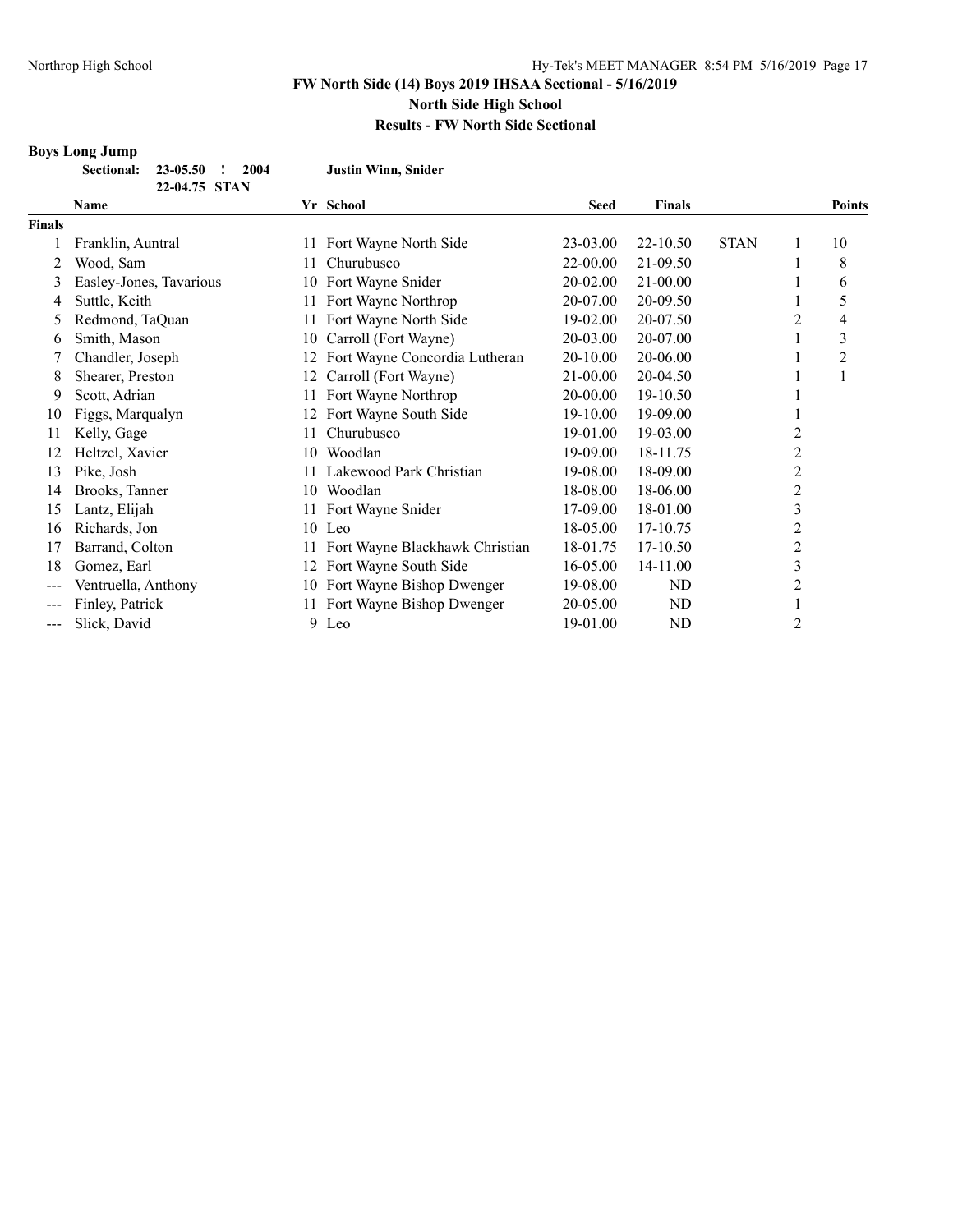**Boys Long Jump**

# **FW North Side (14) Boys 2019 IHSAA Sectional - 5/16/2019 North Side High School**

# **Results - FW North Side Sectional**

|               | <b>Sectional:</b><br>23-05.50<br>2004<br>22-04.75 STAN |    | <b>Justin Winn, Snider</b>     |             |               |             |                |                |
|---------------|--------------------------------------------------------|----|--------------------------------|-------------|---------------|-------------|----------------|----------------|
|               | Name                                                   |    | Yr School                      | <b>Seed</b> | <b>Finals</b> |             |                | <b>Points</b>  |
| <b>Finals</b> |                                                        |    |                                |             |               |             |                |                |
|               | Franklin, Auntral                                      |    | 11 Fort Wayne North Side       | 23-03.00    | 22-10.50      | <b>STAN</b> | 1              | 10             |
|               | Wood, Sam                                              | 11 | Churubusco                     | 22-00.00    | 21-09.50      |             |                | 8              |
| 3             | Easley-Jones, Tavarious                                |    | 10 Fort Wayne Snider           | 20-02.00    | 21-00.00      |             |                | 6              |
| 4             | Suttle, Keith                                          | 11 | Fort Wayne Northrop            | 20-07.00    | 20-09.50      |             |                | 5              |
| 5             | Redmond, TaQuan                                        |    | 11 Fort Wayne North Side       | 19-02.00    | 20-07.50      |             | 2              | 4              |
| 6             | Smith, Mason                                           | 10 | Carroll (Fort Wayne)           | 20-03.00    | 20-07.00      |             |                | 3              |
|               | Chandler, Joseph                                       | 12 | Fort Wayne Concordia Lutheran  | 20-10.00    | 20-06.00      |             |                | $\overline{c}$ |
| 8             | Shearer, Preston                                       | 12 | Carroll (Fort Wayne)           | 21-00.00    | 20-04.50      |             |                |                |
| 9             | Scott, Adrian                                          | 11 | Fort Wayne Northrop            | 20-00.00    | 19-10.50      |             |                |                |
| 10            | Figgs, Marqualyn                                       |    | Fort Wayne South Side          | 19-10.00    | 19-09.00      |             |                |                |
| 11            | Kelly, Gage                                            |    | Churubusco                     | 19-01.00    | 19-03.00      |             | 2              |                |
| 12            | Heltzel, Xavier                                        | 10 | Woodlan                        | 19-09.00    | 18-11.75      |             | $\overline{c}$ |                |
| 13            | Pike, Josh                                             |    | Lakewood Park Christian        | 19-08.00    | 18-09.00      |             | $\overline{c}$ |                |
| 14            | Brooks, Tanner                                         | 10 | Woodlan                        | 18-08.00    | 18-06.00      |             | $\overline{c}$ |                |
| 15            | Lantz, Elijah                                          |    | 11 Fort Wayne Snider           | 17-09.00    | 18-01.00      |             | 3              |                |
| 16            | Richards, Jon                                          | 10 | Leo                            | 18-05.00    | 17-10.75      |             | 2              |                |
| 17            | Barrand, Colton                                        | 11 | Fort Wayne Blackhawk Christian | 18-01.75    | 17-10.50      |             | $\overline{c}$ |                |
| 18            | Gomez, Earl                                            | 12 | Fort Wayne South Side          | 16-05.00    | 14-11.00      |             | 3              |                |
| $---$         | Ventruella, Anthony                                    | 10 | Fort Wayne Bishop Dwenger      | 19-08.00    | ND            |             | 2              |                |
| ---           | Finley, Patrick                                        | 11 | Fort Wayne Bishop Dwenger      | 20-05.00    | ND            |             |                |                |
| ---           | Slick, David                                           | 9. | Leo                            | 19-01.00    | ND            |             | 2              |                |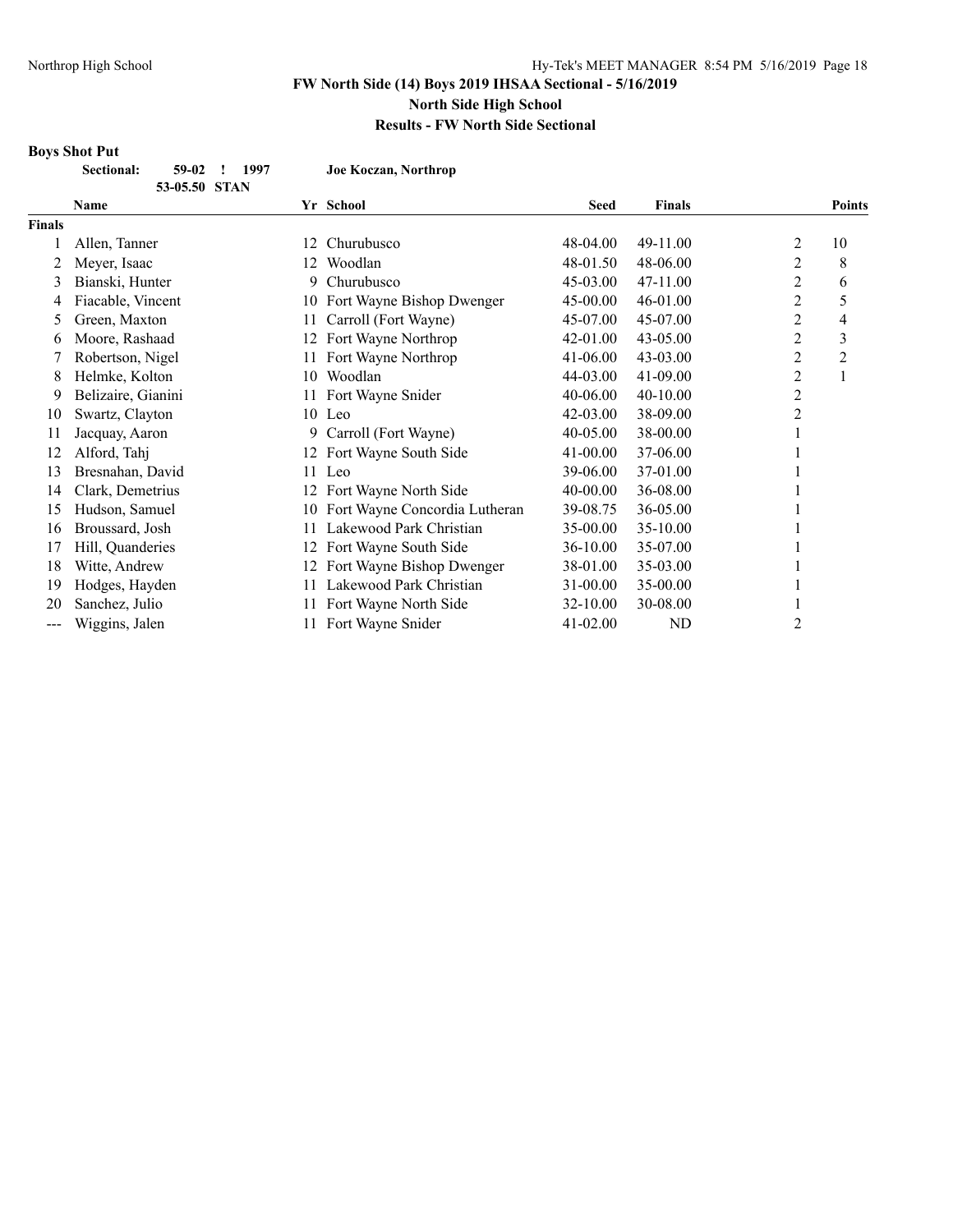# **Results - FW North Side Sectional**

#### **Boys Shot Put**

**Sectional: 59-02 ! 1997 Joe Koczan, Northrop**

|               | 53-05.50 STAN      |    |                               |              |                |                |                |
|---------------|--------------------|----|-------------------------------|--------------|----------------|----------------|----------------|
|               | <b>Name</b>        |    | Yr School                     | <b>Seed</b>  | <b>Finals</b>  |                | <b>Points</b>  |
| <b>Finals</b> |                    |    |                               |              |                |                |                |
|               | Allen, Tanner      | 12 | Churubusco                    | 48-04.00     | 49-11.00       | 2              | 10             |
|               | Meyer, Isaac       | 12 | Woodlan                       | 48-01.50     | 48-06.00       | 2              | 8              |
| 3             | Bianski, Hunter    | 9  | Churubusco                    | 45-03.00     | 47-11.00       | 2              | 6              |
| 4             | Fiacable, Vincent  | 10 | Fort Wayne Bishop Dwenger     | 45-00.00     | 46-01.00       | $\overline{c}$ | 5              |
| 5             | Green, Maxton      | 11 | Carroll (Fort Wayne)          | 45-07.00     | 45-07.00       | 2              | 4              |
| 6             | Moore, Rashaad     | 12 | Fort Wayne Northrop           | 42-01.00     | 43-05.00       | 2              | 3              |
|               | Robertson, Nigel   | 11 | Fort Wayne Northrop           | 41-06.00     | $43 - 03.00$   | 2              | $\overline{c}$ |
| 8             | Helmke, Kolton     | 10 | Woodlan                       | 44-03.00     | 41-09.00       | 2              | 1              |
| 9             | Belizaire, Gianini | 11 | Fort Wayne Snider             | 40-06.00     | 40-10.00       | $\overline{2}$ |                |
| 10            | Swartz, Clayton    |    | 10 Leo                        | 42-03.00     | 38-09.00       | 2              |                |
| 11            | Jacquay, Aaron     | 9  | Carroll (Fort Wayne)          | 40-05.00     | 38-00.00       |                |                |
| 12            | Alford, Tahj       | 12 | Fort Wayne South Side         | $41 - 00.00$ | 37-06.00       |                |                |
| 13            | Bresnahan, David   | 11 | Leo                           | 39-06.00     | 37-01.00       |                |                |
| 14            | Clark, Demetrius   | 12 | Fort Wayne North Side         | $40 - 00.00$ | 36-08.00       |                |                |
| 15            | Hudson, Samuel     | 10 | Fort Wayne Concordia Lutheran | 39-08.75     | 36-05.00       |                |                |
| 16            | Broussard, Josh    | 11 | Lakewood Park Christian       | 35-00.00     | 35-10.00       |                |                |
| 17            | Hill, Quanderies   | 12 | Fort Wayne South Side         | 36-10.00     | 35-07.00       |                |                |
| 18            | Witte, Andrew      | 12 | Fort Wayne Bishop Dwenger     | 38-01.00     | 35-03.00       |                |                |
| 19            | Hodges, Hayden     |    | Lakewood Park Christian       | 31-00.00     | 35-00.00       |                |                |
| 20            | Sanchez, Julio     | 11 | Fort Wayne North Side         | 32-10.00     | 30-08.00       |                |                |
| ---           | Wiggins, Jalen     | 11 | Fort Wayne Snider             | 41-02.00     | N <sub>D</sub> | 2              |                |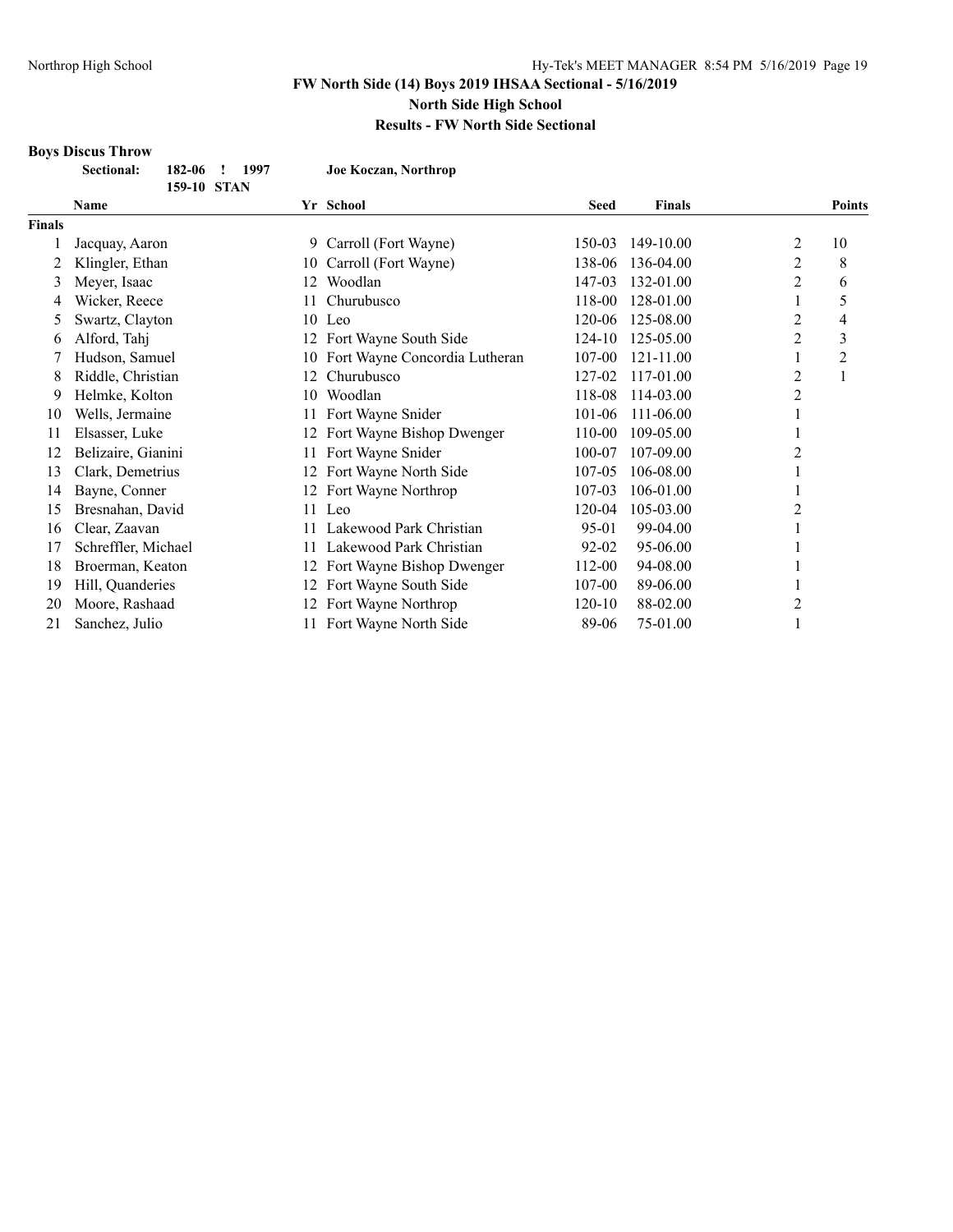# **Boys Discus Throw**

| <b>Sectional:</b> | 182-06 ! 1997 | Joe Koczan, Northrop |
|-------------------|---------------|----------------------|
|                   | 159-10 STAN   |                      |
| Namo              |               | $V_r$ Cohool         |

| Name          |                     | Yr School |                               | <b>Seed</b> | <b>Finals</b> |   | <b>Points</b> |
|---------------|---------------------|-----------|-------------------------------|-------------|---------------|---|---------------|
| <b>Finals</b> |                     |           |                               |             |               |   |               |
|               | Jacquay, Aaron      |           | 9 Carroll (Fort Wayne)        | 150-03      | 149-10.00     | 2 | 10            |
|               | Klingler, Ethan     | 10        | Carroll (Fort Wayne)          | 138-06      | 136-04.00     | 2 | 8             |
| 3             | Meyer, Isaac        | 12        | Woodlan                       | 147-03      | 132-01.00     | 2 | 6             |
| 4             | Wicker, Reece       | 11        | Churubusco                    |             | 128-01.00     |   | 5             |
| C             | Swartz, Clayton     |           | Leo<br>10                     |             | 125-08.00     | 2 | 4             |
| 6             | Alford, Tahj        | 12        | Fort Wayne South Side         | 124-10      | 125-05.00     | 2 | 3             |
|               | Hudson, Samuel      | 10        | Fort Wayne Concordia Lutheran | 107-00      | 121-11.00     |   | 2             |
| 8             | Riddle, Christian   | 12        | Churubusco                    |             | 117-01.00     | 2 |               |
| 9             | Helmke, Kolton      | 10        | Woodlan                       | 118-08      | 114-03.00     | 2 |               |
| 10            | Wells, Jermaine     | 11        | Fort Wayne Snider             | 101-06      | 111-06.00     |   |               |
| 11            | Elsasser, Luke      | 12        | Fort Wayne Bishop Dwenger     | 110-00      | 109-05.00     |   |               |
| 12            | Belizaire, Gianini  | 11        | Fort Wayne Snider             | 100-07      | 107-09.00     |   |               |
| 13            | Clark, Demetrius    | 12        | Fort Wayne North Side         | $107 - 05$  | 106-08.00     |   |               |
| 14            | Bayne, Conner       | 12        | Fort Wayne Northrop           | 107-03      | 106-01.00     |   |               |
| 15            | Bresnahan, David    |           | 11 Leo                        | 120-04      | 105-03.00     |   |               |
| 16            | Clear, Zaavan       |           | Lakewood Park Christian       | 95-01       | 99-04.00      |   |               |
| 17            | Schreffler, Michael | 11        | Lakewood Park Christian       | 92-02       | 95-06.00      |   |               |
| 18            | Broerman, Keaton    | 12        | Fort Wayne Bishop Dwenger     | 112-00      | 94-08.00      |   |               |
| 19            | Hill, Quanderies    | 12        | Fort Wayne South Side         | 107-00      | 89-06.00      |   |               |
| 20            | Moore, Rashaad      | 12        | Fort Wayne Northrop           | 120-10      | 88-02.00      | 2 |               |
| 21            | Sanchez, Julio      | 11        | Fort Wayne North Side         | 89-06       | 75-01.00      |   |               |